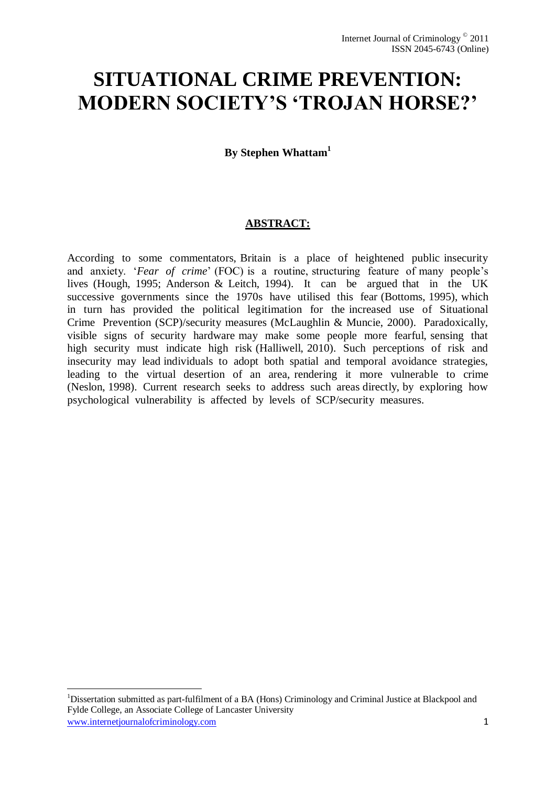# **SITUATIONAL CRIME PREVENTION: MODERN SOCIETY'S 'TROJAN HORSE?'**

**By Stephen Whattam<sup>1</sup>**

# **ABSTRACT:**

<span id="page-0-0"></span>According to some commentators, Britain is a place of heightened public insecurity and anxiety. 'Fear of crime' (FOC) is a routine, structuring feature of many people's lives (Hough, 1995; Anderson & Leitch, 1994). It can be argued that in the UK successive governments since the 1970s have utilised this fear (Bottoms, 1995), which in turn has provided the political legitimation for the increased use of Situational Crime Prevention (SCP)/security measures (McLaughlin & Muncie, 2000). Paradoxically, visible signs of security hardware may make some people more fearful, sensing that high security must indicate high risk (Halliwell, 2010). Such perceptions of risk and insecurity may lead individuals to adopt both spatial and temporal avoidance strategies, leading to the virtual desertion of an area, rendering it more vulnerable to crime (Neslon, 1998). Current research seeks to address such areas directly, by exploring how psychological vulnerability is affected by levels of SCP/security measures.

-

www.internetjournalofcriminology.com 1 <sup>1</sup>Dissertation submitted as part-fulfilment of a BA (Hons) Criminology and Criminal Justice at Blackpool and Fylde College, an Associate College of Lancaster University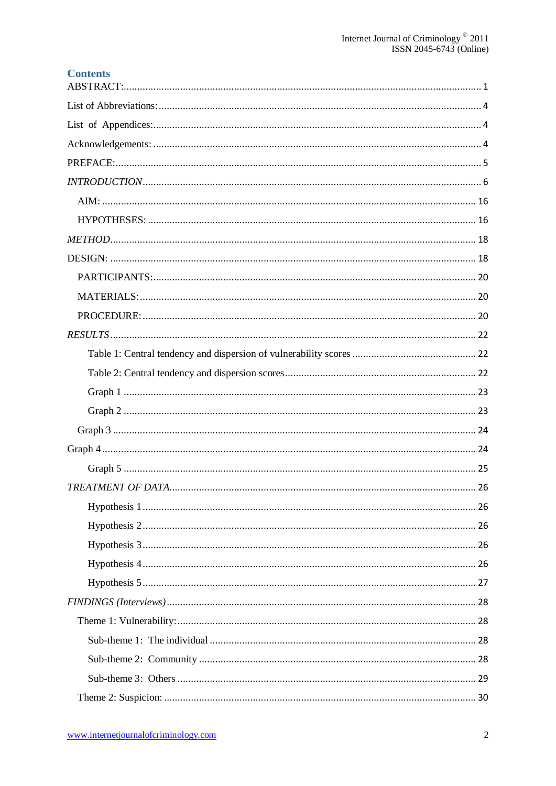| <b>Contents</b> |
|-----------------|
|                 |
|                 |
|                 |
|                 |
|                 |
|                 |
|                 |
|                 |
|                 |
|                 |
|                 |
|                 |
|                 |
|                 |
|                 |
|                 |
|                 |
|                 |
|                 |
|                 |
|                 |
|                 |
|                 |
|                 |
|                 |
|                 |
|                 |
|                 |
|                 |
|                 |
|                 |
|                 |
|                 |
|                 |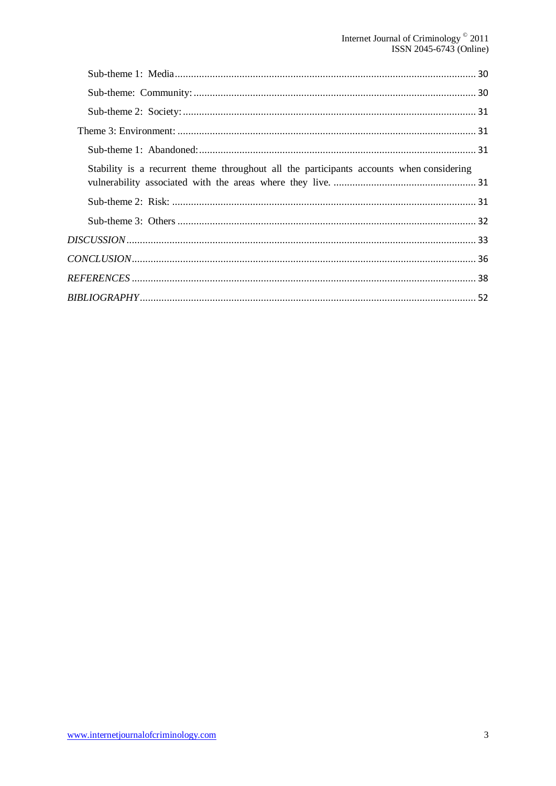| Stability is a recurrent theme throughout all the participants accounts when considering |  |
|------------------------------------------------------------------------------------------|--|
|                                                                                          |  |
|                                                                                          |  |
|                                                                                          |  |
|                                                                                          |  |
|                                                                                          |  |
|                                                                                          |  |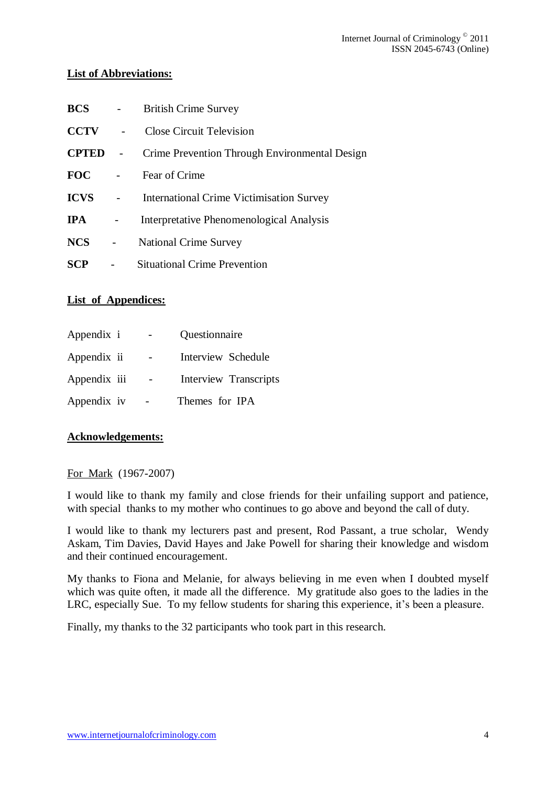# <span id="page-3-0"></span>**List of Abbreviations:**

| <b>BCS</b>   |                          | <b>British Crime Survey</b>                     |
|--------------|--------------------------|-------------------------------------------------|
| <b>CCTV</b>  |                          | <b>Close Circuit Television</b>                 |
| <b>CPTED</b> | $\overline{\phantom{a}}$ | Crime Prevention Through Environmental Design   |
| <b>FOC</b>   |                          | Fear of Crime                                   |
| <b>ICVS</b>  |                          | <b>International Crime Victimisation Survey</b> |
| <b>IPA</b>   |                          | Interpretative Phenomenological Analysis        |
| <b>NCS</b>   |                          | <b>National Crime Survey</b>                    |
| <b>SCP</b>   |                          | <b>Situational Crime Prevention</b>             |

# <span id="page-3-1"></span>**List of Appendices:**

| Appendix i   | Questionnaire         |
|--------------|-----------------------|
| Appendix ii  | Interview Schedule    |
| Appendix iii | Interview Transcripts |
| Appendix iv  | Themes for IPA        |

# <span id="page-3-2"></span>**Acknowledgements:**

# For Mark (1967-2007)

I would like to thank my family and close friends for their unfailing support and patience, with special thanks to my mother who continues to go above and beyond the call of duty.

I would like to thank my lecturers past and present, Rod Passant, a true scholar, Wendy Askam, Tim Davies, David Hayes and Jake Powell for sharing their knowledge and wisdom and their continued encouragement.

My thanks to Fiona and Melanie, for always believing in me even when I doubted myself which was quite often, it made all the difference. My gratitude also goes to the ladies in the LRC, especially Sue. To my fellow students for sharing this experience, it's been a pleasure.

Finally, my thanks to the 32 participants who took part in this research.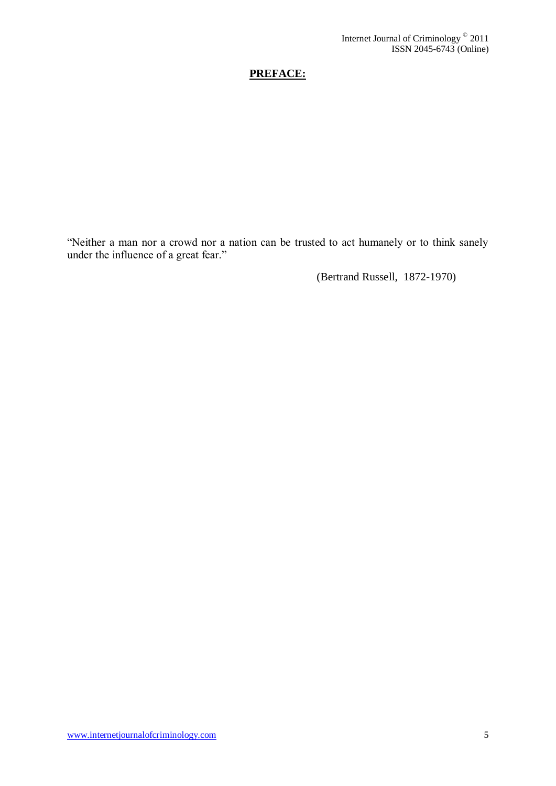# **PREFACE:**

<span id="page-4-0"></span>"Neither a man nor a crowd nor a nation can be trusted to act humanely or to think sanely under the influence of a great fear."

(Bertrand Russell, 1872-1970)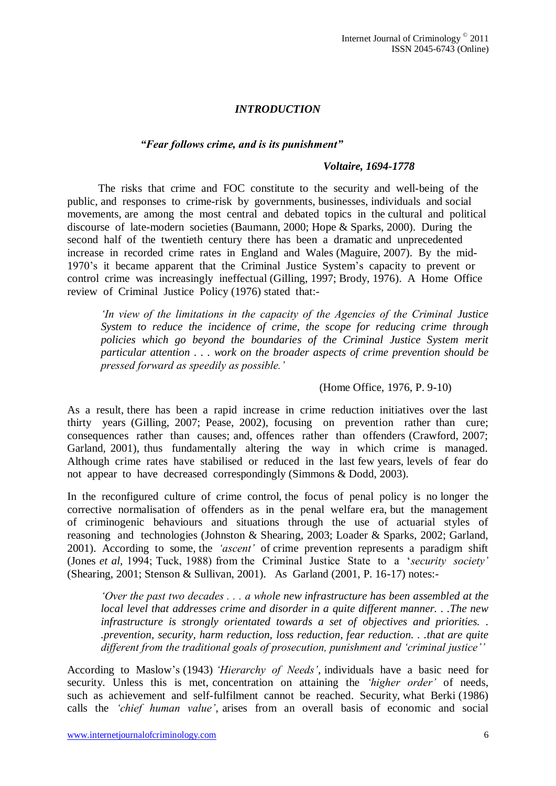# *INTRODUCTION*

#### <span id="page-5-0"></span>*"Fear follows crime, and is its punishment"*

#### *Voltaire, 1694-1778*

The risks that crime and FOC constitute to the security and well-being of the public, and responses to crime-risk by governments, businesses, individuals and social movements, are among the most central and debated topics in the cultural and political discourse of late-modern societies (Baumann, 2000; Hope & Sparks, 2000). During the second half of the twentieth century there has been a dramatic and unprecedented increase in recorded crime rates in England and Wales (Maguire, 2007). By the mid-1970"s it became apparent that the Criminal Justice System"s capacity to prevent or control crime was increasingly ineffectual (Gilling, 1997; Brody, 1976). A Home Office review of Criminal Justice Policy (1976) stated that:-

*"In view of the limitations in the capacity of the Agencies of the Criminal Justice System to reduce the incidence of crime, the scope for reducing crime through policies which go beyond the boundaries of the Criminal Justice System merit particular attention . . . work on the broader aspects of crime prevention should be pressed forward as speedily as possible."*

#### (Home Office, 1976, P. 9-10)

As a result, there has been a rapid increase in crime reduction initiatives over the last thirty years (Gilling, 2007; Pease, 2002), focusing on prevention rather than cure; consequences rather than causes; and, offences rather than offenders (Crawford, 2007; Garland, 2001), thus fundamentally altering the way in which crime is managed. Although crime rates have stabilised or reduced in the last few years, levels of fear do not appear to have decreased correspondingly (Simmons & Dodd, 2003).

In the reconfigured culture of crime control, the focus of penal policy is no longer the corrective normalisation of offenders as in the penal welfare era, but the management of criminogenic behaviours and situations through the use of actuarial styles of reasoning and technologies (Johnston & Shearing, 2003; Loader & Sparks, 2002; Garland, 2001). According to some, the *"ascent"* of crime prevention represents a paradigm shift (Jones *et al,* 1994; Tuck, 1988) from the Criminal Justice State to a "*security society"* (Shearing, 2001; Stenson & Sullivan, 2001). As Garland (2001, P. 16-17) notes:-

*"Over the past two decades . . . a whole new infrastructure has been assembled at the local level that addresses crime and disorder in a quite different manner. . .The new infrastructure is strongly orientated towards a set of objectives and priorities. . .prevention, security, harm reduction, loss reduction, fear reduction. . .that are quite different from the traditional goals of prosecution, punishment and "criminal justice""*

According to Maslow"s (1943) *"Hierarchy of Needs"*, individuals have a basic need for security. Unless this is met, concentration on attaining the *"higher order"* of needs, such as achievement and self-fulfilment cannot be reached. Security, what Berki (1986) calls the *"chief human value"*, arises from an overall basis of economic and social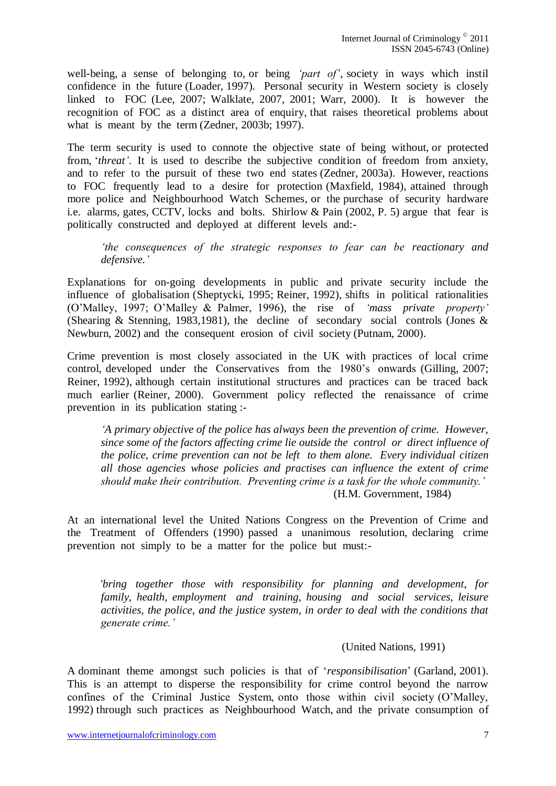well-being, a sense of belonging to, or being *"part of"*, society in ways which instil confidence in the future (Loader, 1997). Personal security in Western society is closely linked to FOC (Lee, 2007; Walklate, 2007, 2001; Warr, 2000). It is however the recognition of FOC as a distinct area of enquiry, that raises theoretical problems about what is meant by the term (Zedner, 2003b; 1997).

The term security is used to connote the objective state of being without, or protected from, "*threat"*. It is used to describe the subjective condition of freedom from anxiety, and to refer to the pursuit of these two end states (Zedner, 2003a). However, reactions to FOC frequently lead to a desire for protection (Maxfield, 1984), attained through more police and Neighbourhood Watch Schemes, or the purchase of security hardware i.e. alarms, gates, CCTV, locks and bolts. Shirlow & Pain (2002, P. 5) argue that fear is politically constructed and deployed at different levels and:-

*"the consequences of the strategic responses to fear can be reactionary and defensive."*

Explanations for on-going developments in public and private security include the influence of globalisation (Sheptycki, 1995; Reiner, 1992), shifts in political rationalities (O"Malley, 1997; O"Malley & Palmer, 1996), the rise of *"mass private property"* (Shearing & Stenning, 1983,1981), the decline of secondary social controls (Jones & Newburn, 2002) and the consequent erosion of civil society (Putnam, 2000).

Crime prevention is most closely associated in the UK with practices of local crime control, developed under the Conservatives from the 1980"s onwards (Gilling, 2007; Reiner, 1992), although certain institutional structures and practices can be traced back much earlier (Reiner, 2000). Government policy reflected the renaissance of crime prevention in its publication stating :-

*"A primary objective of the police has always been the prevention of crime. However, since some of the factors affecting crime lie outside the control or direct influence of the police, crime prevention can not be left to them alone. Every individual citizen all those agencies whose policies and practises can influence the extent of crime should make their contribution. Preventing crime is a task for the whole community."* (H.M. Government, 1984)

At an international level the United Nations Congress on the Prevention of Crime and the Treatment of Offenders (1990) passed a unanimous resolution, declaring crime prevention not simply to be a matter for the police but must:-

'*bring together those with responsibility for planning and development, for family, health, employment and training, housing and social services, leisure activities, the police, and the justice system, in order to deal with the conditions that generate crime."* 

#### (United Nations, 1991)

A dominant theme amongst such policies is that of "*responsibilisation*" (Garland, 2001). This is an attempt to disperse the responsibility for crime control beyond the narrow confines of the Criminal Justice System, onto those within civil society (O"Malley, 1992) through such practices as Neighbourhood Watch, and the private consumption of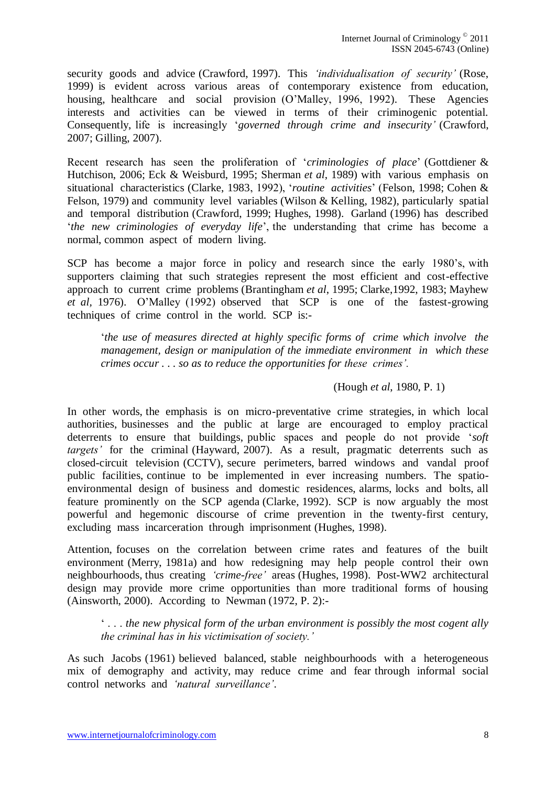security goods and advice (Crawford, 1997). This *"individualisation of security"* (Rose, 1999) is evident across various areas of contemporary existence from education, housing, healthcare and social provision (O"Malley, 1996, 1992). These Agencies interests and activities can be viewed in terms of their criminogenic potential. Consequently, life is increasingly "*governed through crime and insecurity"* (Crawford, 2007; Gilling, 2007).

Recent research has seen the proliferation of "*criminologies of place*" (Gottdiener & Hutchison, 2006; Eck & Weisburd, 1995; Sherman *et al*, 1989) with various emphasis on situational characteristics (Clarke, 1983, 1992), "*routine activities*" (Felson, 1998; Cohen & Felson, 1979) and community level variables (Wilson & Kelling, 1982), particularly spatial and temporal distribution (Crawford, 1999; Hughes, 1998). Garland (1996) has described "*the new criminologies of everyday life*", the understanding that crime has become a normal, common aspect of modern living.

SCP has become a major force in policy and research since the early 1980"s, with supporters claiming that such strategies represent the most efficient and cost-effective approach to current crime problems (Brantingham *et al*, 1995; Clarke,1992, 1983; Mayhew *et al,* 1976). O"Malley (1992) observed that SCP is one of the fastest-growing techniques of crime control in the world. SCP is:-

"*the use of measures directed at highly specific forms of crime which involve the management, design or manipulation of the immediate environment in which these crimes occur . . . so as to reduce the opportunities for these crimes".*

## (Hough *et al*, 1980, P. 1)

In other words, the emphasis is on micro-preventative crime strategies, in which local authorities, businesses and the public at large are encouraged to employ practical deterrents to ensure that buildings, public spaces and people do not provide "*soft targets"* for the criminal (Hayward, 2007). As a result, pragmatic deterrents such as closed-circuit television (CCTV), secure perimeters, barred windows and vandal proof public facilities, continue to be implemented in ever increasing numbers. The spatioenvironmental design of business and domestic residences, alarms, locks and bolts, all feature prominently on the SCP agenda (Clarke, 1992). SCP is now arguably the most powerful and hegemonic discourse of crime prevention in the twenty-first century, excluding mass incarceration through imprisonment (Hughes, 1998).

Attention, focuses on the correlation between crime rates and features of the built environment (Merry, 1981a) and how redesigning may help people control their own neighbourhoods, thus creating *"crime-free"* areas (Hughes, 1998). Post-WW2 architectural design may provide more crime opportunities than more traditional forms of housing (Ainsworth, 2000). According to Newman (1972, P. 2):-

" . . . *the new physical form of the urban environment is possibly the most cogent ally the criminal has in his victimisation of society."*

As such Jacobs (1961) believed balanced, stable neighbourhoods with a heterogeneous mix of demography and activity, may reduce crime and fear through informal social control networks and *"natural surveillance"*.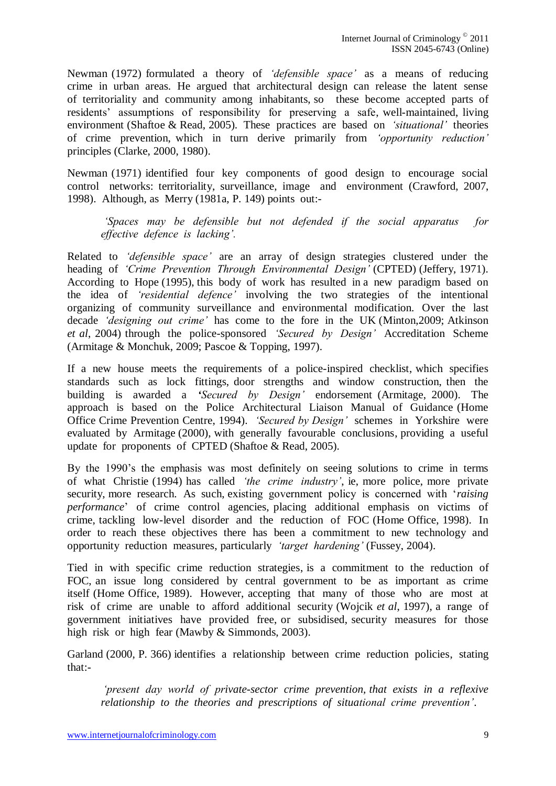Newman (1972) formulated a theory of *"defensible space"* as a means of reducing crime in urban areas. He argued that architectural design can release the latent sense of territoriality and community among inhabitants, so these become accepted parts of residents" assumptions of responsibility for preserving a safe, well-maintained, living environment (Shaftoe & Read, 2005). These practices are based on *"situational"* theories of crime prevention, which in turn derive primarily from *"opportunity reduction"* principles (Clarke, 2000, 1980).

Newman (1971) identified four key components of good design to encourage social control networks: territoriality, surveillance, image and environment (Crawford, 2007, 1998). Although, as Merry (1981a, P. 149) points out:-

*"Spaces may be defensible but not defended if the social apparatus for effective defence is lacking".* 

Related to *"defensible space"* are an array of design strategies clustered under the heading of *"Crime Prevention Through Environmental Design"* (CPTED) (Jeffery, 1971). According to Hope (1995), this body of work has resulted in a new paradigm based on the idea of *"residential defence"* involving the two strategies of the intentional organizing of community surveillance and environmental modification. Over the last decade *"designing out crime"* has come to the fore in the UK (Minton,2009; Atkinson *et al*, 2004) through the police-sponsored *"Secured by Design"* Accreditation Scheme (Armitage & Monchuk, 2009; Pascoe & Topping, 1997).

If a new house meets the requirements of a police-inspired checklist, which specifies standards such as lock fittings, door strengths and window construction, then the building is awarded a *"Secured by Design"* endorsement (Armitage, 2000). The approach is based on the Police Architectural Liaison Manual of Guidance (Home Office Crime Prevention Centre, 1994). *"Secured by Design"* schemes in Yorkshire were evaluated by Armitage (2000), with generally favourable conclusions, providing a useful update for proponents of CPTED (Shaftoe & Read, 2005).

By the 1990's the emphasis was most definitely on seeing solutions to crime in terms of what Christie (1994) has called *"the crime industry"*, ie, more police, more private security, more research. As such, existing government policy is concerned with "*raising performance*" of crime control agencies, placing additional emphasis on victims of crime, tackling low-level disorder and the reduction of FOC (Home Office, 1998). In order to reach these objectives there has been a commitment to new technology and opportunity reduction measures, particularly *"target hardening"* (Fussey, 2004).

Tied in with specific crime reduction strategies, is a commitment to the reduction of FOC, an issue long considered by central government to be as important as crime itself (Home Office, 1989). However, accepting that many of those who are most at risk of crime are unable to afford additional security (Wojcik *et al*, 1997), a range of government initiatives have provided free, or subsidised, security measures for those high risk or high fear (Mawby & Simmonds, 2003).

Garland (2000, P. 366) identifies a relationship between crime reduction policies, stating that:-

*"present day world of private-sector crime prevention, that exists in a reflexive relationship to the theories and prescriptions of situational crime prevention"*.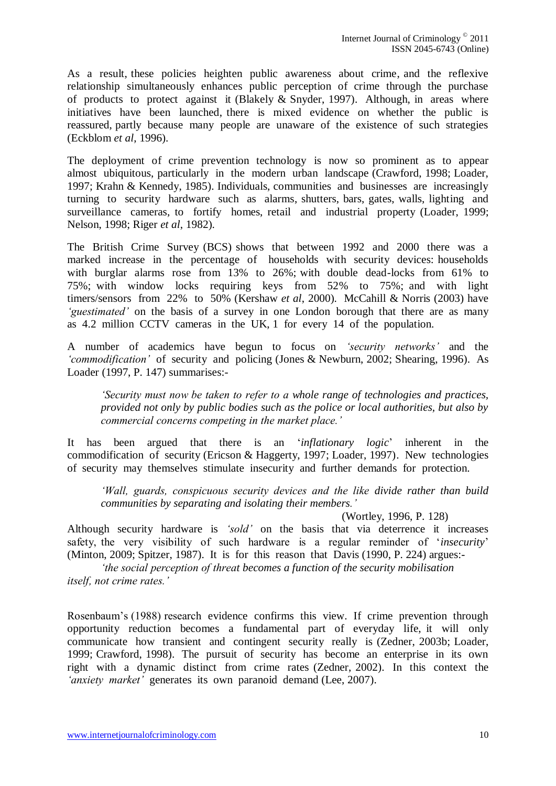As a result, these policies heighten public awareness about crime, and the reflexive relationship simultaneously enhances public perception of crime through the purchase of products to protect against it (Blakely & Snyder, 1997). Although, in areas where initiatives have been launched, there is mixed evidence on whether the public is reassured, partly because many people are unaware of the existence of such strategies (Eckblom *et al*, 1996).

The deployment of crime prevention technology is now so prominent as to appear almost ubiquitous, particularly in the modern urban landscape (Crawford, 1998; Loader, 1997; Krahn & Kennedy, 1985). Individuals, communities and businesses are increasingly turning to security hardware such as alarms, shutters, bars, gates, walls, lighting and surveillance cameras, to fortify homes, retail and industrial property (Loader, 1999; Nelson, 1998; Riger *et al*, 1982).

The British Crime Survey (BCS) shows that between 1992 and 2000 there was a marked increase in the percentage of households with security devices: households with burglar alarms rose from 13% to 26%; with double dead-locks from 61% to 75%; with window locks requiring keys from 52% to 75%; and with light timers/sensors from 22% to 50% (Kershaw *et al*, 2000). McCahill & Norris (2003) have *"guestimated"* on the basis of a survey in one London borough that there are as many as 4.2 million CCTV cameras in the UK, 1 for every 14 of the population.

A number of academics have begun to focus on *"security networks"* and the *"commodification"* of security and policing (Jones & Newburn, 2002; Shearing, 1996). As Loader (1997, P. 147) summarises:-

*"Security must now be taken to refer to a whole range of technologies and practices, provided not only by public bodies such as the police or local authorities, but also by commercial concerns competing in the market place."*

It has been argued that there is an "*inflationary logic*" inherent in the commodification of security (Ericson & Haggerty, 1997; Loader, 1997). New technologies of security may themselves stimulate insecurity and further demands for protection.

*"Wall, guards, conspicuous security devices and the like divide rather than build communities by separating and isolating their members."*

(Wortley, 1996, P. 128)

Although security hardware is *"sold"* on the basis that via deterrence it increases safety, the very visibility of such hardware is a regular reminder of "*insecurity*" (Minton, 2009; Spitzer, 1987). It is for this reason that Davis (1990, P. 224) argues:-

*"the social perception of threat becomes a function of the security mobilisation itself, not crime rates."* 

Rosenbaum"s (1988) research evidence confirms this view. If crime prevention through opportunity reduction becomes a fundamental part of everyday life, it will only communicate how transient and contingent security really is (Zedner, 2003b; Loader, 1999; Crawford, 1998). The pursuit of security has become an enterprise in its own right with a dynamic distinct from crime rates (Zedner, 2002). In this context the *'anxiety market'* generates its own paranoid demand (Lee, 2007).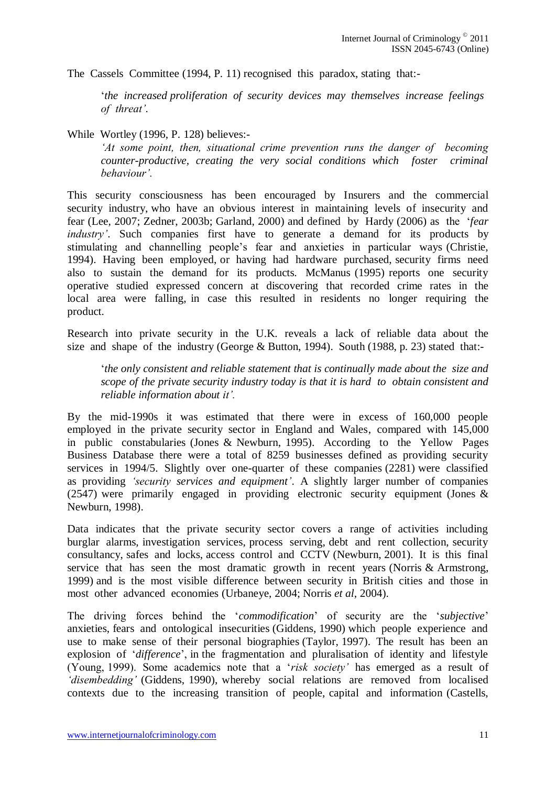The Cassels Committee (1994, P. 11) recognised this paradox, stating that:-

"*the increased proliferation of security devices may themselves increase feelings of threat".*

While Wortley (1996, P. 128) believes:-

*"At some point, then, situational crime prevention runs the danger of becoming counter-productive, creating the very social conditions which foster criminal behaviour".*

This security consciousness has been encouraged by Insurers and the commercial security industry, who have an obvious interest in maintaining levels of insecurity and fear (Lee, 2007; Zedner, 2003b; Garland, 2000) and defined by Hardy (2006) as the "*fear industry'*. Such companies first have to generate a demand for its products by stimulating and channelling people"s fear and anxieties in particular ways (Christie, 1994). Having been employed, or having had hardware purchased, security firms need also to sustain the demand for its products. McManus (1995) reports one security operative studied expressed concern at discovering that recorded crime rates in the local area were falling, in case this resulted in residents no longer requiring the product.

Research into private security in the U.K. reveals a lack of reliable data about the size and shape of the industry (George & Button, 1994). South (1988, p. 23) stated that:-

"*the only consistent and reliable statement that is continually made about the size and scope of the private security industry today is that it is hard to obtain consistent and reliable information about it".* 

By the mid-1990s it was estimated that there were in excess of 160,000 people employed in the private security sector in England and Wales, compared with 145,000 in public constabularies (Jones & Newburn, 1995). According to the Yellow Pages Business Database there were a total of 8259 businesses defined as providing security services in 1994/5. Slightly over one-quarter of these companies (2281) were classified as providing *"security services and equipment"*. A slightly larger number of companies (2547) were primarily engaged in providing electronic security equipment (Jones & Newburn, 1998).

Data indicates that the private security sector covers a range of activities including burglar alarms, investigation services, process serving, debt and rent collection, security consultancy, safes and locks, access control and CCTV (Newburn, 2001). It is this final service that has seen the most dramatic growth in recent years (Norris & Armstrong, 1999) and is the most visible difference between security in British cities and those in most other advanced economies (Urbaneye, 2004; Norris *et al*, 2004).

The driving forces behind the "*commodification*" of security are the "*subjective*" anxieties, fears and ontological insecurities (Giddens, 1990) which people experience and use to make sense of their personal biographies (Taylor, 1997). The result has been an explosion of "*difference*", in the fragmentation and pluralisation of identity and lifestyle (Young, 1999). Some academics note that a "*risk society"* has emerged as a result of *"disembedding"* (Giddens, 1990), whereby social relations are removed from localised contexts due to the increasing transition of people, capital and information (Castells,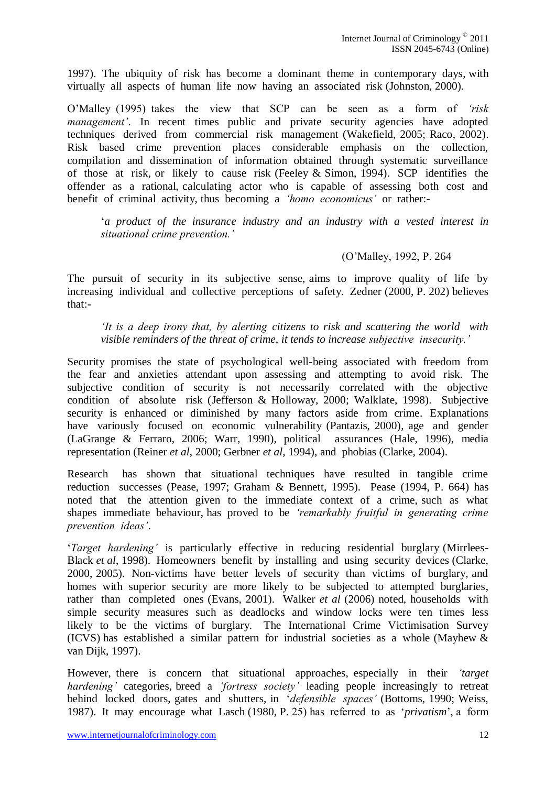1997). The ubiquity of risk has become a dominant theme in contemporary days, with virtually all aspects of human life now having an associated risk (Johnston, 2000).

O"Malley (1995) takes the view that SCP can be seen as a form of *"risk management'*. In recent times public and private security agencies have adopted techniques derived from commercial risk management (Wakefield, 2005; Raco, 2002). Risk based crime prevention places considerable emphasis on the collection, compilation and dissemination of information obtained through systematic surveillance of those at risk, or likely to cause risk (Feeley & Simon, 1994). SCP identifies the offender as a rational, calculating actor who is capable of assessing both cost and benefit of criminal activity, thus becoming a *"homo economicus"* or rather:-

"*a product of the insurance industry and an industry with a vested interest in situational crime prevention."* 

# (O"Malley, 1992, P. 264

The pursuit of security in its subjective sense, aims to improve quality of life by increasing individual and collective perceptions of safety. Zedner (2000, P. 202) believes that:-

*"It is a deep irony that, by alerting citizens to risk and scattering the world with visible reminders of the threat of crime, it tends to increase subjective insecurity."*

Security promises the state of psychological well-being associated with freedom from the fear and anxieties attendant upon assessing and attempting to avoid risk. The subjective condition of security is not necessarily correlated with the objective condition of absolute risk (Jefferson & Holloway, 2000; Walklate, 1998). Subjective security is enhanced or diminished by many factors aside from crime. Explanations have variously focused on economic vulnerability (Pantazis, 2000), age and gender (LaGrange & Ferraro, 2006; Warr, 1990), political assurances (Hale, 1996), media representation (Reiner *et al*, 2000; Gerbner *et al*, 1994), and phobias (Clarke, 2004).

Research has shown that situational techniques have resulted in tangible crime reduction successes (Pease, 1997; Graham & Bennett, 1995). Pease (1994, P. 664) has noted that the attention given to the immediate context of a crime, such as what shapes immediate behaviour, has proved to be *"remarkably fruitful in generating crime prevention ideas"*.

"*Target hardening"* is particularly effective in reducing residential burglary (Mirrlees-Black *et al*, 1998). Homeowners benefit by installing and using security devices (Clarke, 2000, 2005). Non-victims have better levels of security than victims of burglary, and homes with superior security are more likely to be subjected to attempted burglaries, rather than completed ones (Evans, 2001). Walker *et al* (2006) noted, households with simple security measures such as deadlocks and window locks were ten times less likely to be the victims of burglary. The International Crime Victimisation Survey (ICVS) has established a similar pattern for industrial societies as a whole (Mayhew & van Dijk, 1997).

However, there is concern that situational approaches, especially in their *"target hardening"* categories, breed a *"fortress society"* leading people increasingly to retreat behind locked doors, gates and shutters, in "*defensible spaces"* (Bottoms, 1990; Weiss, 1987). It may encourage what Lasch (1980, P. 25) has referred to as "*privatism*", a form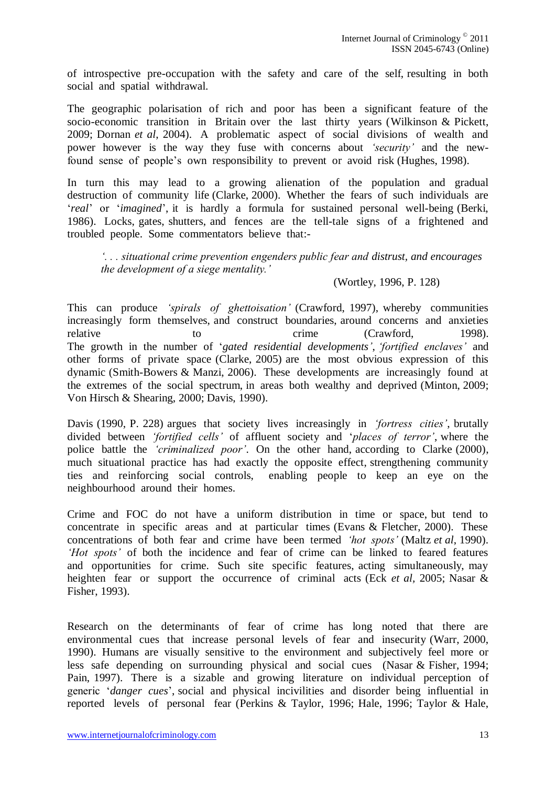of introspective pre-occupation with the safety and care of the self, resulting in both social and spatial withdrawal.

The geographic polarisation of rich and poor has been a significant feature of the socio-economic transition in Britain over the last thirty years (Wilkinson & Pickett, 2009; Dornan *et al*, 2004). A problematic aspect of social divisions of wealth and power however is the way they fuse with concerns about *"security"* and the newfound sense of people"s own responsibility to prevent or avoid risk (Hughes, 1998).

In turn this may lead to a growing alienation of the population and gradual destruction of community life (Clarke, 2000). Whether the fears of such individuals are "*real*" or "*imagined*", it is hardly a formula for sustained personal well-being (Berki, 1986). Locks, gates, shutters, and fences are the tell-tale signs of a frightened and troubled people. Some commentators believe that:-

*". . . situational crime prevention engenders public fear and distrust, and encourages the development of a siege mentality."* 

#### (Wortley, 1996, P. 128)

This can produce *"spirals of ghettoisation"* (Crawford, 1997), whereby communities increasingly form themselves, and construct boundaries, around concerns and anxieties relative to to crime (Crawford, 1998). The growth in the number of "*gated residential developments"*, *"fortified enclaves"* and other forms of private space (Clarke, 2005) are the most obvious expression of this dynamic (Smith-Bowers & Manzi, 2006). These developments are increasingly found at the extremes of the social spectrum, in areas both wealthy and deprived (Minton, 2009; Von Hirsch & Shearing, 2000; Davis, 1990).

Davis (1990, P. 228) argues that society lives increasingly in *"fortress cities"*, brutally divided between *"fortified cells"* of affluent society and "*places of terror"*, where the police battle the *"criminalized poor"*. On the other hand, according to Clarke (2000), much situational practice has had exactly the opposite effect, strengthening community ties and reinforcing social controls, enabling people to keep an eye on the neighbourhood around their homes.

Crime and FOC do not have a uniform distribution in time or space, but tend to concentrate in specific areas and at particular times (Evans & Fletcher, 2000). These concentrations of both fear and crime have been termed *"hot spots"* (Maltz *et al*, 1990). *"Hot spots"* of both the incidence and fear of crime can be linked to feared features and opportunities for crime. Such site specific features, acting simultaneously, may heighten fear or support the occurrence of criminal acts (Eck *et al,* 2005; Nasar & Fisher, 1993).

Research on the determinants of fear of crime has long noted that there are environmental cues that increase personal levels of fear and insecurity (Warr, 2000, 1990). Humans are visually sensitive to the environment and subjectively feel more or less safe depending on surrounding physical and social cues (Nasar & Fisher, 1994; Pain, 1997). There is a sizable and growing literature on individual perception of generic "*danger cues*", social and physical incivilities and disorder being influential in reported levels of personal fear (Perkins & Taylor, 1996; Hale, 1996; Taylor & Hale,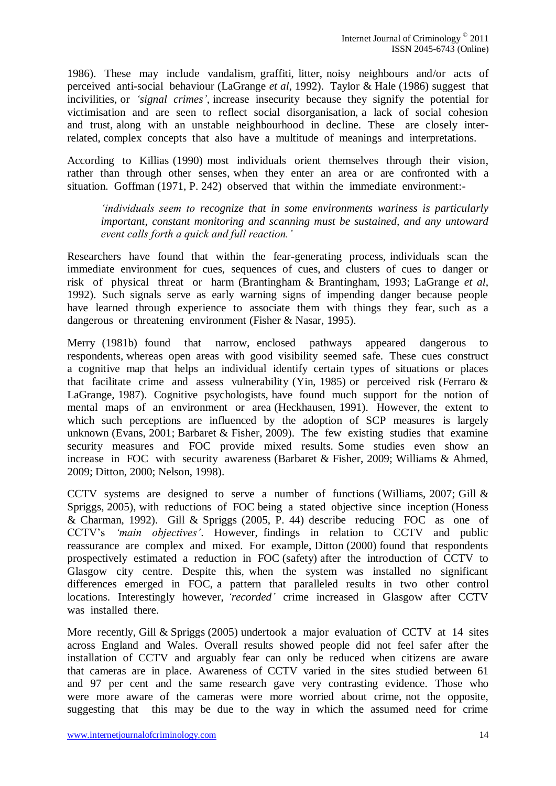1986). These may include vandalism, graffiti, litter, noisy neighbours and/or acts of perceived anti-social behaviour (LaGrange *et al*, 1992). Taylor & Hale (1986) suggest that incivilities, or *"signal crimes"*, increase insecurity because they signify the potential for victimisation and are seen to reflect social disorganisation, a lack of social cohesion and trust, along with an unstable neighbourhood in decline. These are closely interrelated, complex concepts that also have a multitude of meanings and interpretations.

According to Killias (1990) most individuals orient themselves through their vision, rather than through other senses, when they enter an area or are confronted with a situation. Goffman (1971, P. 242) observed that within the immediate environment:-

*"individuals seem to recognize that in some environments wariness is particularly important, constant monitoring and scanning must be sustained, and any untoward event calls forth a quick and full reaction."*

Researchers have found that within the fear-generating process, individuals scan the immediate environment for cues, sequences of cues, and clusters of cues to danger or risk of physical threat or harm (Brantingham & Brantingham, 1993; LaGrange *et al*, 1992). Such signals serve as early warning signs of impending danger because people have learned through experience to associate them with things they fear, such as a dangerous or threatening environment (Fisher & Nasar, 1995).

Merry (1981b) found that narrow, enclosed pathways appeared dangerous to respondents, whereas open areas with good visibility seemed safe. These cues construct a cognitive map that helps an individual identify certain types of situations or places that facilitate crime and assess vulnerability (Yin, 1985) or perceived risk (Ferraro  $\&$ LaGrange, 1987). Cognitive psychologists, have found much support for the notion of mental maps of an environment or area (Heckhausen, 1991). However, the extent to which such perceptions are influenced by the adoption of SCP measures is largely unknown (Evans, 2001; Barbaret & Fisher, 2009). The few existing studies that examine security measures and FOC provide mixed results. Some studies even show an increase in FOC with security awareness (Barbaret & Fisher, 2009; Williams & Ahmed, 2009; Ditton, 2000; Nelson, 1998).

CCTV systems are designed to serve a number of functions (Williams, 2007; Gill & Spriggs, 2005), with reductions of FOC being a stated objective since inception (Honess & Charman, 1992). Gill & Spriggs (2005, P. 44) describe reducing FOC as one of CCTV"s *"main objectives"*. However, findings in relation to CCTV and public reassurance are complex and mixed. For example, Ditton (2000) found that respondents prospectively estimated a reduction in FOC (safety) after the introduction of CCTV to Glasgow city centre. Despite this, when the system was installed no significant differences emerged in FOC, a pattern that paralleled results in two other control locations. Interestingly however, *"recorded"* crime increased in Glasgow after CCTV was installed there.

More recently, Gill & Spriggs (2005) undertook a major evaluation of CCTV at 14 sites across England and Wales. Overall results showed people did not feel safer after the installation of CCTV and arguably fear can only be reduced when citizens are aware that cameras are in place. Awareness of CCTV varied in the sites studied between 61 and 97 per cent and the same research gave very contrasting evidence. Those who were more aware of the cameras were more worried about crime, not the opposite, suggesting that this may be due to the way in which the assumed need for crime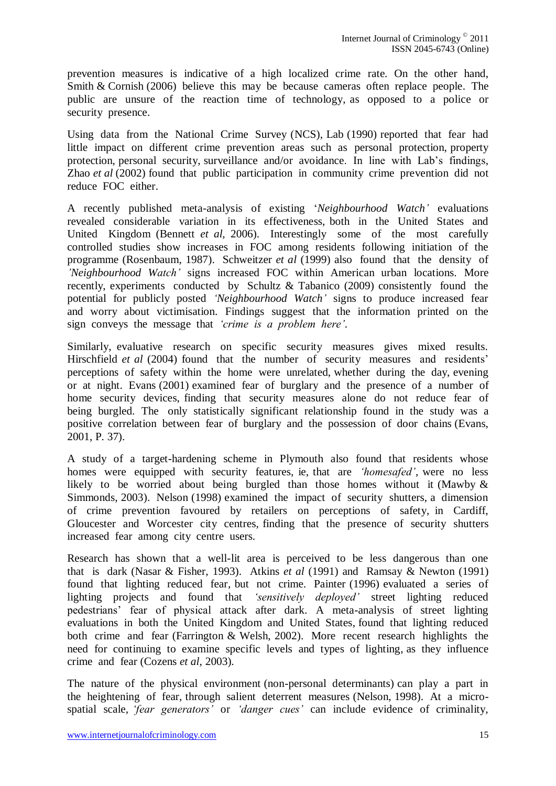prevention measures is indicative of a high localized crime rate. On the other hand, Smith & Cornish (2006) believe this may be because cameras often replace people. The public are unsure of the reaction time of technology, as opposed to a police or security presence.

Using data from the National Crime Survey (NCS), Lab (1990) reported that fear had little impact on different crime prevention areas such as personal protection, property protection, personal security, surveillance and/or avoidance. In line with Lab"s findings, Zhao *et al* (2002) found that public participation in community crime prevention did not reduce FOC either.

A recently published meta-analysis of existing "*Neighbourhood Watch"* evaluations revealed considerable variation in its effectiveness, both in the United States and United Kingdom (Bennett *et al,* 2006). Interestingly some of the most carefully controlled studies show increases in FOC among residents following initiation of the programme (Rosenbaum, 1987). Schweitzer *et al* (1999) also found that the density of *"Neighbourhood Watch"* signs increased FOC within American urban locations. More recently, experiments conducted by Schultz & Tabanico (2009) consistently found the potential for publicly posted *"Neighbourhood Watch"* signs to produce increased fear and worry about victimisation. Findings suggest that the information printed on the sign conveys the message that *"crime is a problem here".*

Similarly, evaluative research on specific security measures gives mixed results. Hirschfield *et al* (2004) found that the number of security measures and residents' perceptions of safety within the home were unrelated, whether during the day, evening or at night. Evans (2001) examined fear of burglary and the presence of a number of home security devices, finding that security measures alone do not reduce fear of being burgled. The only statistically significant relationship found in the study was a positive correlation between fear of burglary and the possession of door chains (Evans, 2001, P. 37).

A study of a target-hardening scheme in Plymouth also found that residents whose homes were equipped with security features, ie, that are *"homesafed"*, were no less likely to be worried about being burgled than those homes without it (Mawby & Simmonds, 2003). Nelson (1998) examined the impact of security shutters, a dimension of crime prevention favoured by retailers on perceptions of safety, in Cardiff, Gloucester and Worcester city centres, finding that the presence of security shutters increased fear among city centre users.

Research has shown that a well-lit area is perceived to be less dangerous than one that is dark (Nasar & Fisher, 1993). Atkins *et al* (1991) and Ramsay & Newton (1991) found that lighting reduced fear, but not crime. Painter (1996) evaluated a series of lighting projects and found that *"sensitively deployed"* street lighting reduced pedestrians" fear of physical attack after dark. A meta-analysis of street lighting evaluations in both the United Kingdom and United States, found that lighting reduced both crime and fear (Farrington & Welsh, 2002). More recent research highlights the need for continuing to examine specific levels and types of lighting, as they influence crime and fear (Cozens *et al*, 2003).

The nature of the physical environment (non-personal determinants) can play a part in the heightening of fear, through salient deterrent measures (Nelson, 1998). At a microspatial scale, *"fear generators"* or *"danger cues"* can include evidence of criminality,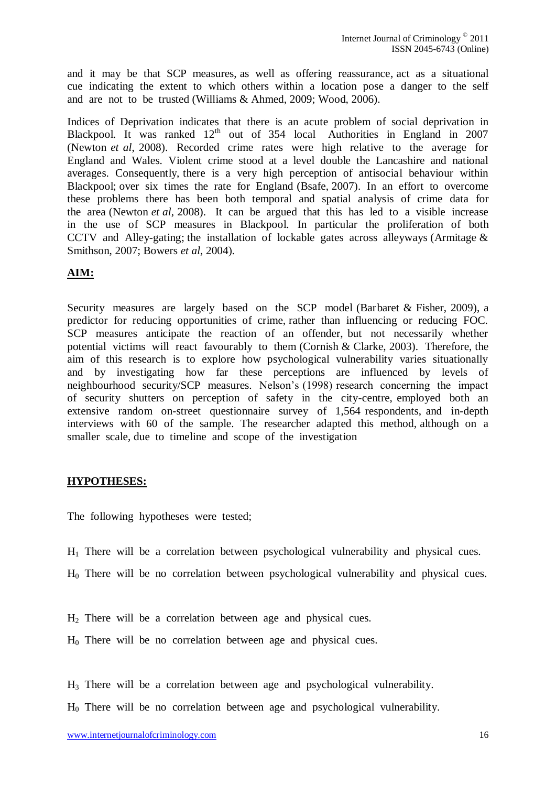and it may be that SCP measures, as well as offering reassurance, act as a situational cue indicating the extent to which others within a location pose a danger to the self and are not to be trusted (Williams & Ahmed, 2009; Wood, 2006).

Indices of Deprivation indicates that there is an acute problem of social deprivation in Blackpool. It was ranked 12<sup>th</sup> out of 354 local Authorities in England in 2007 (Newton *et al*, 2008). Recorded crime rates were high relative to the average for England and Wales. Violent crime stood at a level double the Lancashire and national averages. Consequently, there is a very high perception of antisocial behaviour within Blackpool; over six times the rate for England (Bsafe, 2007). In an effort to overcome these problems there has been both temporal and spatial analysis of crime data for the area (Newton *et al*, 2008). It can be argued that this has led to a visible increase in the use of SCP measures in Blackpool. In particular the proliferation of both CCTV and Alley-gating; the installation of lockable gates across alleyways (Armitage  $\&$ Smithson, 2007; Bowers *et al*, 2004).

# <span id="page-15-0"></span>**AIM:**

Security measures are largely based on the SCP model (Barbaret & Fisher, 2009), a predictor for reducing opportunities of crime, rather than influencing or reducing FOC. SCP measures anticipate the reaction of an offender, but not necessarily whether potential victims will react favourably to them (Cornish & Clarke, 2003). Therefore, the aim of this research is to explore how psychological vulnerability varies situationally and by investigating how far these perceptions are influenced by levels of neighbourhood security/SCP measures. Nelson"s (1998) research concerning the impact of security shutters on perception of safety in the city-centre, employed both an extensive random on-street questionnaire survey of 1,564 respondents, and in-depth interviews with 60 of the sample. The researcher adapted this method, although on a smaller scale, due to timeline and scope of the investigation

# <span id="page-15-1"></span>**HYPOTHESES:**

The following hypotheses were tested;

 $H_1$  There will be a correlation between psychological vulnerability and physical cues.

H0 There will be no correlation between psychological vulnerability and physical cues.

H<sup>2</sup> There will be a correlation between age and physical cues.

H0 There will be no correlation between age and physical cues.

 $H_3$  There will be a correlation between age and psychological vulnerability.

 $H<sub>0</sub>$  There will be no correlation between age and psychological vulnerability.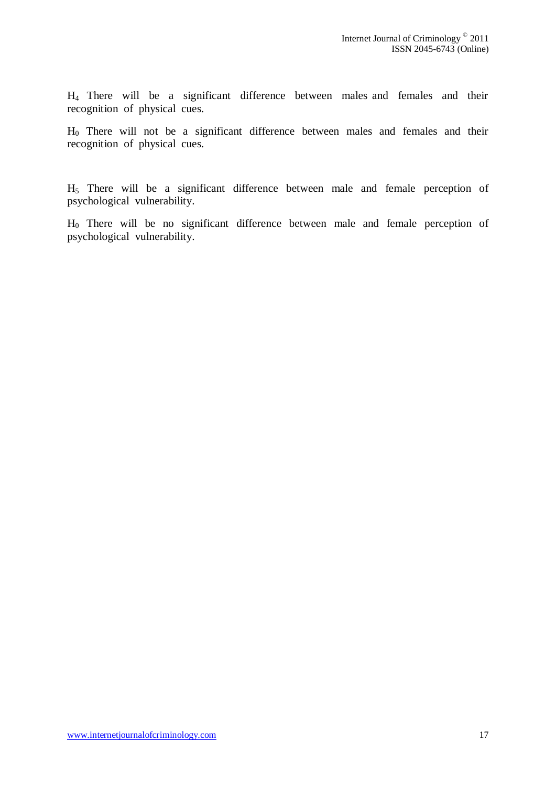H4 There will be a significant difference between males and females and their recognition of physical cues.

 $H_0$  There will not be a significant difference between males and females and their recognition of physical cues.

H5 There will be a significant difference between male and female perception of psychological vulnerability.

H0 There will be no significant difference between male and female perception of psychological vulnerability.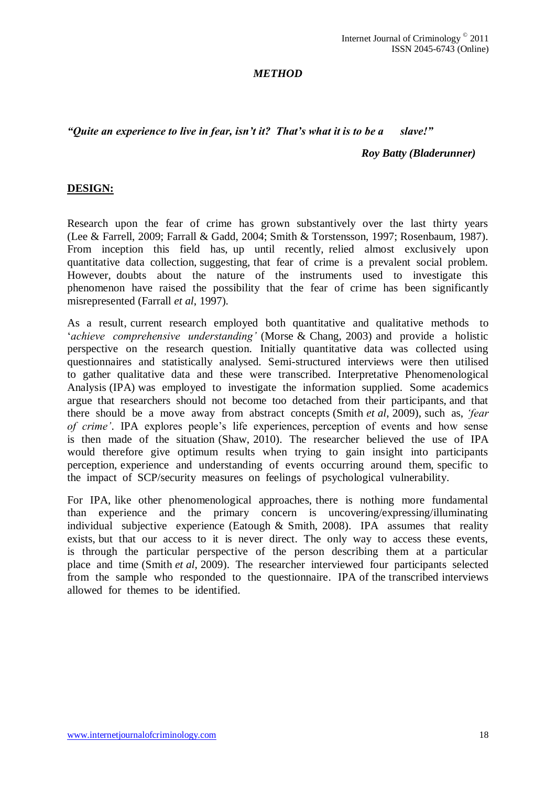#### *METHOD*

#### <span id="page-17-0"></span>*"Quite an experience to live in fear, isn"t it? That"s what it is to be a slave!"*

#### *Roy Batty (Bladerunner)*

#### <span id="page-17-1"></span>**DESIGN:**

Research upon the fear of crime has grown substantively over the last thirty years (Lee & Farrell, 2009; Farrall & Gadd, 2004; Smith & Torstensson, 1997; Rosenbaum, 1987). From inception this field has, up until recently, relied almost exclusively upon quantitative data collection, suggesting, that fear of crime is a prevalent social problem. However, doubts about the nature of the instruments used to investigate this phenomenon have raised the possibility that the fear of crime has been significantly misrepresented (Farrall *et al*, 1997).

As a result, current research employed both quantitative and qualitative methods to "*achieve comprehensive understanding"* (Morse & Chang, 2003) and provide a holistic perspective on the research question. Initially quantitative data was collected using questionnaires and statistically analysed. Semi-structured interviews were then utilised to gather qualitative data and these were transcribed. Interpretative Phenomenological Analysis (IPA) was employed to investigate the information supplied. Some academics argue that researchers should not become too detached from their participants, and that there should be a move away from abstract concepts (Smith *et al*, 2009), such as, *"fear of crime*. IPA explores people's life experiences, perception of events and how sense is then made of the situation (Shaw, 2010). The researcher believed the use of IPA would therefore give optimum results when trying to gain insight into participants perception, experience and understanding of events occurring around them, specific to the impact of SCP/security measures on feelings of psychological vulnerability.

For IPA, like other phenomenological approaches, there is nothing more fundamental than experience and the primary concern is uncovering/expressing/illuminating individual subjective experience (Eatough & Smith, 2008). IPA assumes that reality exists, but that our access to it is never direct. The only way to access these events, is through the particular perspective of the person describing them at a particular place and time (Smith *et al*, 2009). The researcher interviewed four participants selected from the sample who responded to the questionnaire. IPA of the transcribed interviews allowed for themes to be identified.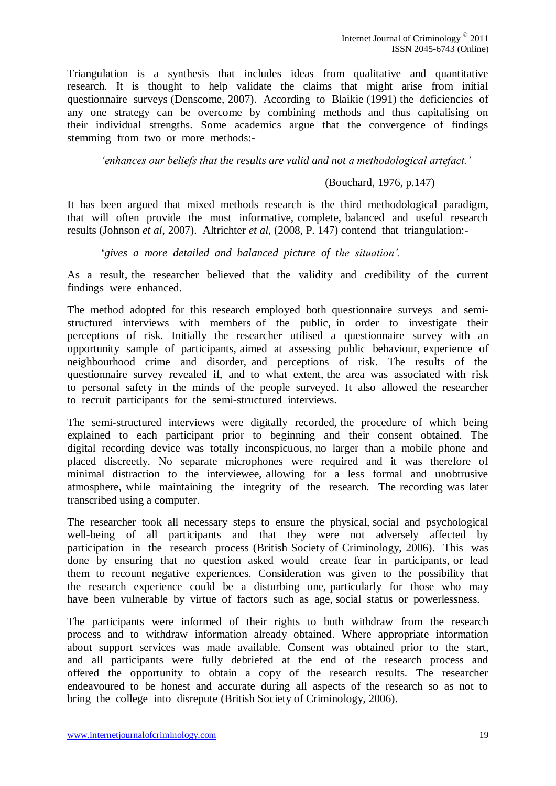Triangulation is a synthesis that includes ideas from qualitative and quantitative research. It is thought to help validate the claims that might arise from initial questionnaire surveys (Denscome, 2007). According to Blaikie (1991) the deficiencies of any one strategy can be overcome by combining methods and thus capitalising on their individual strengths. Some academics argue that the convergence of findings stemming from two or more methods:-

*"enhances our beliefs that the results are valid and not a methodological artefact."*

#### (Bouchard, 1976, p.147)

It has been argued that mixed methods research is the third methodological paradigm, that will often provide the most informative, complete, balanced and useful research results (Johnson *et al*, 2007). Altrichter *et al*, (2008, P. 147) contend that triangulation:-

"*gives a more detailed and balanced picture of the situation".*

As a result, the researcher believed that the validity and credibility of the current findings were enhanced.

The method adopted for this research employed both questionnaire surveys and semistructured interviews with members of the public, in order to investigate their perceptions of risk. Initially the researcher utilised a questionnaire survey with an opportunity sample of participants, aimed at assessing public behaviour, experience of neighbourhood crime and disorder, and perceptions of risk. The results of the questionnaire survey revealed if, and to what extent, the area was associated with risk to personal safety in the minds of the people surveyed. It also allowed the researcher to recruit participants for the semi-structured interviews.

The semi-structured interviews were digitally recorded, the procedure of which being explained to each participant prior to beginning and their consent obtained. The digital recording device was totally inconspicuous, no larger than a mobile phone and placed discreetly. No separate microphones were required and it was therefore of minimal distraction to the interviewee, allowing for a less formal and unobtrusive atmosphere, while maintaining the integrity of the research. The recording was later transcribed using a computer.

The researcher took all necessary steps to ensure the physical, social and psychological well-being of all participants and that they were not adversely affected by participation in the research process (British Society of Criminology, 2006). This was done by ensuring that no question asked would create fear in participants, or lead them to recount negative experiences. Consideration was given to the possibility that the research experience could be a disturbing one, particularly for those who may have been vulnerable by virtue of factors such as age, social status or powerlessness.

The participants were informed of their rights to both withdraw from the research process and to withdraw information already obtained. Where appropriate information about support services was made available. Consent was obtained prior to the start, and all participants were fully debriefed at the end of the research process and offered the opportunity to obtain a copy of the research results. The researcher endeavoured to be honest and accurate during all aspects of the research so as not to bring the college into disrepute (British Society of Criminology, 2006).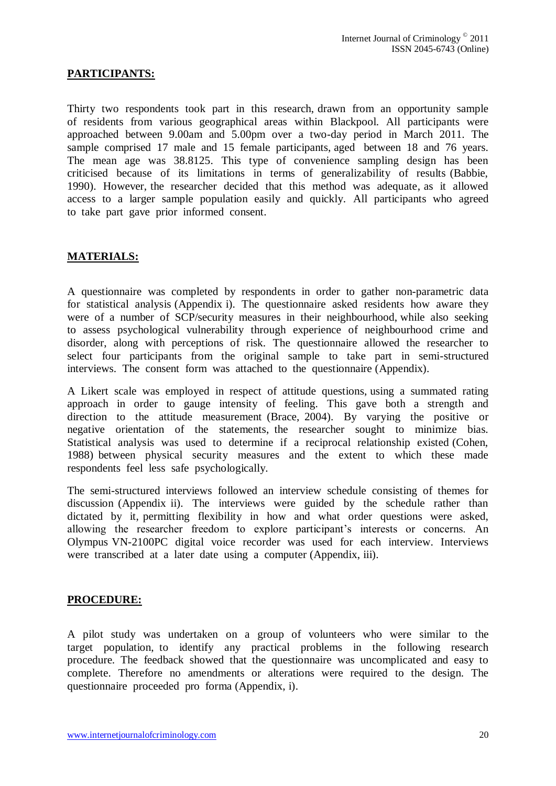# <span id="page-19-0"></span>**PARTICIPANTS:**

Thirty two respondents took part in this research, drawn from an opportunity sample of residents from various geographical areas within Blackpool. All participants were approached between 9.00am and 5.00pm over a two-day period in March 2011. The sample comprised 17 male and 15 female participants, aged between 18 and 76 years. The mean age was 38.8125. This type of convenience sampling design has been criticised because of its limitations in terms of generalizability of results (Babbie, 1990). However, the researcher decided that this method was adequate, as it allowed access to a larger sample population easily and quickly. All participants who agreed to take part gave prior informed consent.

# <span id="page-19-1"></span>**MATERIALS:**

A questionnaire was completed by respondents in order to gather non-parametric data for statistical analysis (Appendix i). The questionnaire asked residents how aware they were of a number of SCP/security measures in their neighbourhood, while also seeking to assess psychological vulnerability through experience of neighbourhood crime and disorder, along with perceptions of risk. The questionnaire allowed the researcher to select four participants from the original sample to take part in semi-structured interviews. The consent form was attached to the questionnaire (Appendix).

A Likert scale was employed in respect of attitude questions, using a summated rating approach in order to gauge intensity of feeling. This gave both a strength and direction to the attitude measurement (Brace, 2004). By varying the positive or negative orientation of the statements, the researcher sought to minimize bias. Statistical analysis was used to determine if a reciprocal relationship existed (Cohen, 1988) between physical security measures and the extent to which these made respondents feel less safe psychologically.

The semi-structured interviews followed an interview schedule consisting of themes for discussion (Appendix ii). The interviews were guided by the schedule rather than dictated by it, permitting flexibility in how and what order questions were asked, allowing the researcher freedom to explore participant's interests or concerns. An Olympus VN-2100PC digital voice recorder was used for each interview. Interviews were transcribed at a later date using a computer (Appendix, iii).

#### <span id="page-19-2"></span>**PROCEDURE:**

A pilot study was undertaken on a group of volunteers who were similar to the target population, to identify any practical problems in the following research procedure. The feedback showed that the questionnaire was uncomplicated and easy to complete. Therefore no amendments or alterations were required to the design. The questionnaire proceeded pro forma (Appendix, i).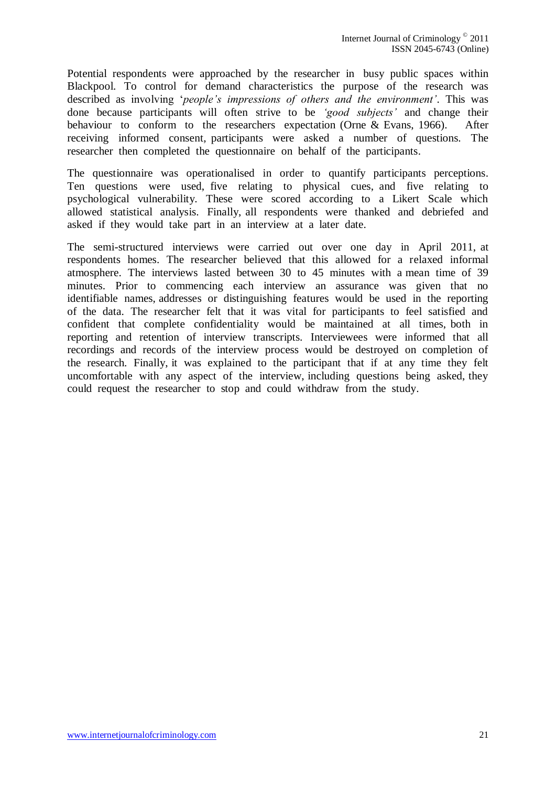Potential respondents were approached by the researcher in busy public spaces within Blackpool. To control for demand characteristics the purpose of the research was described as involving "*people"s impressions of others and the environment"*. This was done because participants will often strive to be *"good subjects"* and change their behaviour to conform to the researchers expectation (Orne & Evans, 1966). After receiving informed consent, participants were asked a number of questions. The researcher then completed the questionnaire on behalf of the participants.

The questionnaire was operationalised in order to quantify participants perceptions. Ten questions were used, five relating to physical cues, and five relating to psychological vulnerability. These were scored according to a Likert Scale which allowed statistical analysis. Finally, all respondents were thanked and debriefed and asked if they would take part in an interview at a later date.

The semi-structured interviews were carried out over one day in April 2011, at respondents homes. The researcher believed that this allowed for a relaxed informal atmosphere. The interviews lasted between 30 to 45 minutes with a mean time of 39 minutes. Prior to commencing each interview an assurance was given that no identifiable names, addresses or distinguishing features would be used in the reporting of the data. The researcher felt that it was vital for participants to feel satisfied and confident that complete confidentiality would be maintained at all times, both in reporting and retention of interview transcripts. Interviewees were informed that all recordings and records of the interview process would be destroyed on completion of the research. Finally, it was explained to the participant that if at any time they felt uncomfortable with any aspect of the interview, including questions being asked, they could request the researcher to stop and could withdraw from the study.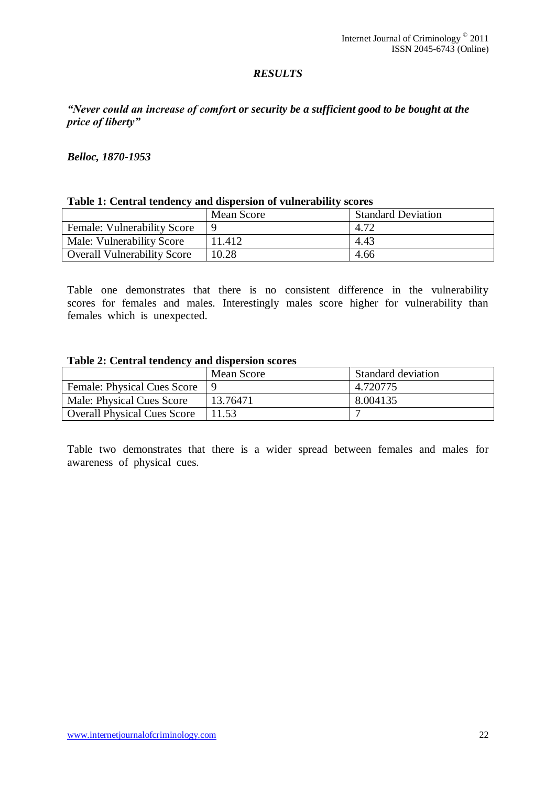# *RESULTS*

# <span id="page-21-0"></span>*"Never could an increase of comfort or security be a sufficient good to be bought at the price of liberty"*

#### *Belloc, 1870-1953*

#### <span id="page-21-1"></span>**Table 1: Central tendency and dispersion of vulnerability scores**

|                                    | Mean Score | <b>Standard Deviation</b> |
|------------------------------------|------------|---------------------------|
| <b>Female: Vulnerability Score</b> |            |                           |
| Male: Vulnerability Score          | 11.412     | 4.43                      |
| <b>Overall Vulnerability Score</b> | 10.28      | 4.66                      |

Table one demonstrates that there is no consistent difference in the vulnerability scores for females and males. Interestingly males score higher for vulnerability than females which is unexpected.

#### <span id="page-21-2"></span>**Table 2: Central tendency and dispersion scores**

|                                    | Mean Score | <b>Standard deviation</b> |
|------------------------------------|------------|---------------------------|
| Female: Physical Cues Score        |            | 4.720775                  |
| Male: Physical Cues Score          | 13.76471   | 8.004135                  |
| <b>Overall Physical Cues Score</b> | 1.53       |                           |

Table two demonstrates that there is a wider spread between females and males for awareness of physical cues.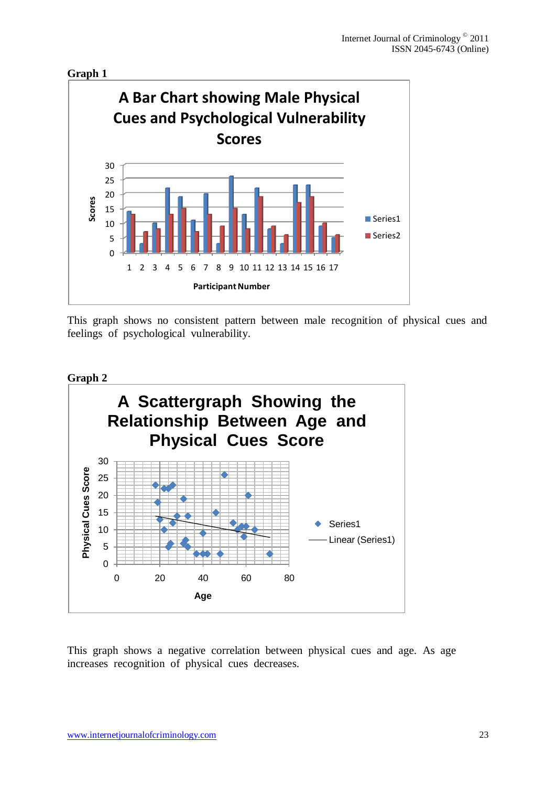<span id="page-22-0"></span>

This graph shows no consistent pattern between male recognition of physical cues and feelings of psychological vulnerability.

<span id="page-22-1"></span>



This graph shows a negative correlation between physical cues and age. As age increases recognition of physical cues decreases.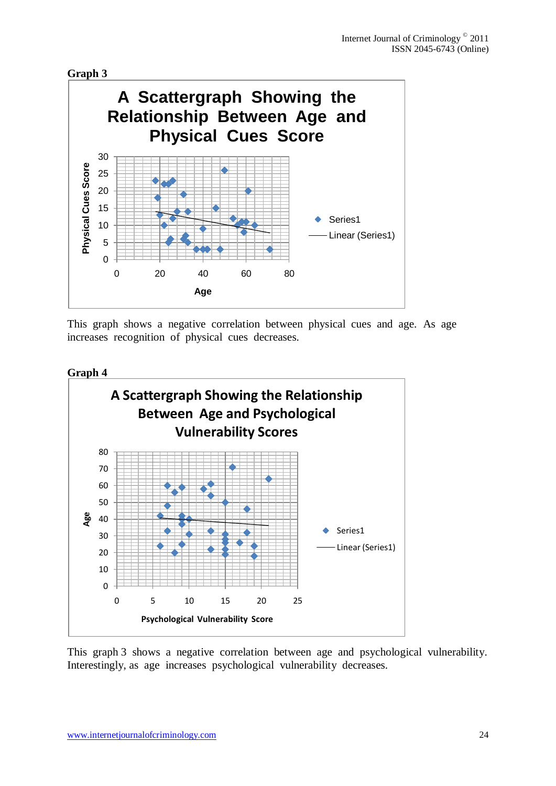<span id="page-23-0"></span>



This graph shows a negative correlation between physical cues and age. As age increases recognition of physical cues decreases.

<span id="page-23-1"></span>



This graph 3 shows a negative correlation between age and psychological vulnerability. Interestingly, as age increases psychological vulnerability decreases.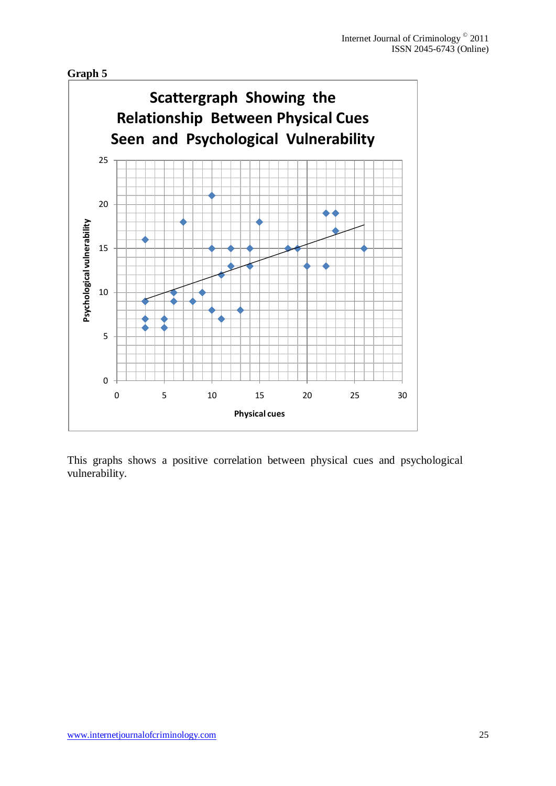<span id="page-24-0"></span>



This graphs shows a positive correlation between physical cues and psychological vulnerability.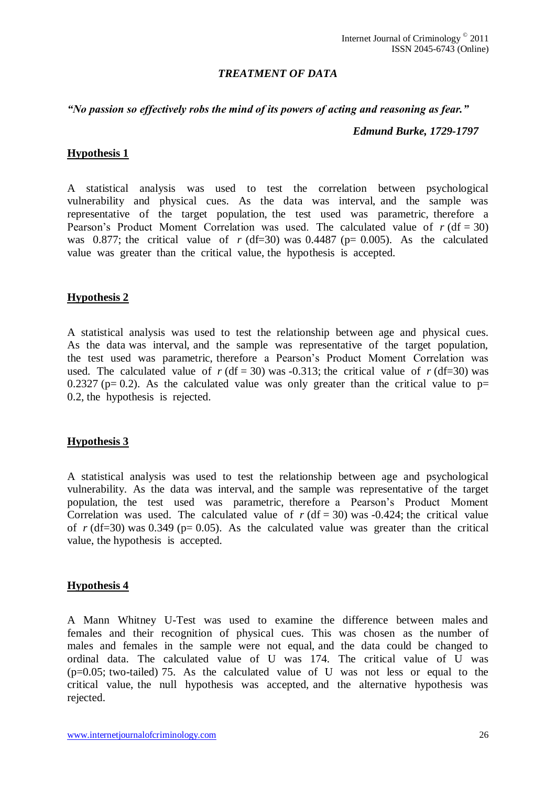## *TREATMENT OF DATA*

#### <span id="page-25-0"></span>*"No passion so effectively robs the mind of its powers of acting and reasoning as fear."*

#### *Edmund Burke, 1729-1797*

#### <span id="page-25-1"></span>**Hypothesis 1**

A statistical analysis was used to test the correlation between psychological vulnerability and physical cues. As the data was interval, and the sample was representative of the target population, the test used was parametric, therefore a Pearson's Product Moment Correlation was used. The calculated value of  $r (df = 30)$ was 0.877; the critical value of  $r$  (df=30) was 0.4487 ( $p= 0.005$ ). As the calculated value was greater than the critical value, the hypothesis is accepted.

#### <span id="page-25-2"></span>**Hypothesis 2**

A statistical analysis was used to test the relationship between age and physical cues. As the data was interval, and the sample was representative of the target population, the test used was parametric, therefore a Pearson"s Product Moment Correlation was used. The calculated value of  $r$  (df = 30) was -0.313; the critical value of  $r$  (df=30) was 0.2327 ( $p= 0.2$ ). As the calculated value was only greater than the critical value to  $p=$ 0.2, the hypothesis is rejected.

#### <span id="page-25-3"></span>**Hypothesis 3**

A statistical analysis was used to test the relationship between age and psychological vulnerability. As the data was interval, and the sample was representative of the target population, the test used was parametric, therefore a Pearson"s Product Moment Correlation was used. The calculated value of  $r$  (df = 30) was -0.424; the critical value of  $r$  (df=30) was 0.349 ( $p= 0.05$ ). As the calculated value was greater than the critical value, the hypothesis is accepted.

#### <span id="page-25-4"></span>**Hypothesis 4**

A Mann Whitney U-Test was used to examine the difference between males and females and their recognition of physical cues. This was chosen as the number of males and females in the sample were not equal, and the data could be changed to ordinal data. The calculated value of U was 174. The critical value of U was (p=0.05; two-tailed) 75. As the calculated value of U was not less or equal to the critical value, the null hypothesis was accepted, and the alternative hypothesis was rejected.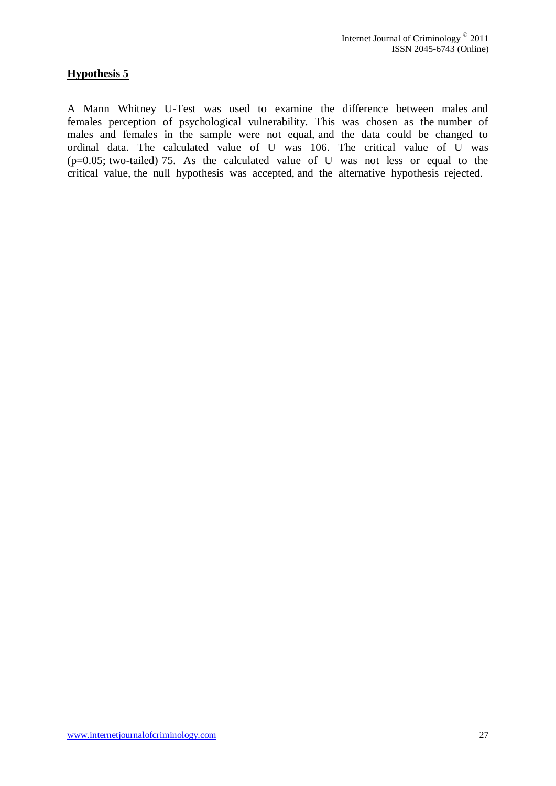# <span id="page-26-0"></span>**Hypothesis 5**

A Mann Whitney U-Test was used to examine the difference between males and females perception of psychological vulnerability. This was chosen as the number of males and females in the sample were not equal, and the data could be changed to ordinal data. The calculated value of U was 106. The critical value of U was  $(p=0.05;$  two-tailed) 75. As the calculated value of U was not less or equal to the critical value, the null hypothesis was accepted, and the alternative hypothesis rejected.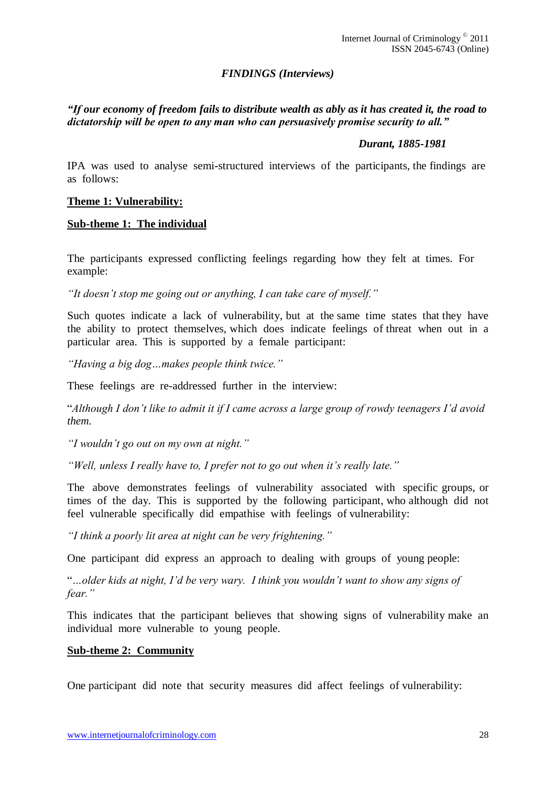# *FINDINGS (Interviews)*

# <span id="page-27-0"></span>*"If our economy of freedom fails to distribute wealth as ably as it has created it, the road to dictatorship will be open to any man who can persuasively promise security to all."*

#### *Durant, 1885-1981*

IPA was used to analyse semi-structured interviews of the participants, the findings are as follows:

#### <span id="page-27-1"></span>**Theme 1: Vulnerability:**

#### <span id="page-27-2"></span>**Sub-theme 1: The individual**

The participants expressed conflicting feelings regarding how they felt at times. For example:

*"It doesn"t stop me going out or anything, I can take care of myself."*

Such quotes indicate a lack of vulnerability, but at the same time states that they have the ability to protect themselves, which does indicate feelings of threat when out in a particular area. This is supported by a female participant:

*"Having a big dog…makes people think twice."*

These feelings are re-addressed further in the interview:

"*Although I don"t like to admit it if I came across a large group of rowdy teenagers I"d avoid them.*

*"I wouldn"t go out on my own at night."*

*"Well, unless I really have to, I prefer not to go out when it"s really late."*

The above demonstrates feelings of vulnerability associated with specific groups, or times of the day. This is supported by the following participant, who although did not feel vulnerable specifically did empathise with feelings of vulnerability:

*"I think a poorly lit area at night can be very frightening."*

One participant did express an approach to dealing with groups of young people:

"*…older kids at night, I"d be very wary. I think you wouldn"t want to show any signs of fear."*

This indicates that the participant believes that showing signs of vulnerability make an individual more vulnerable to young people.

#### <span id="page-27-3"></span>**Sub-theme 2: Community**

One participant did note that security measures did affect feelings of vulnerability: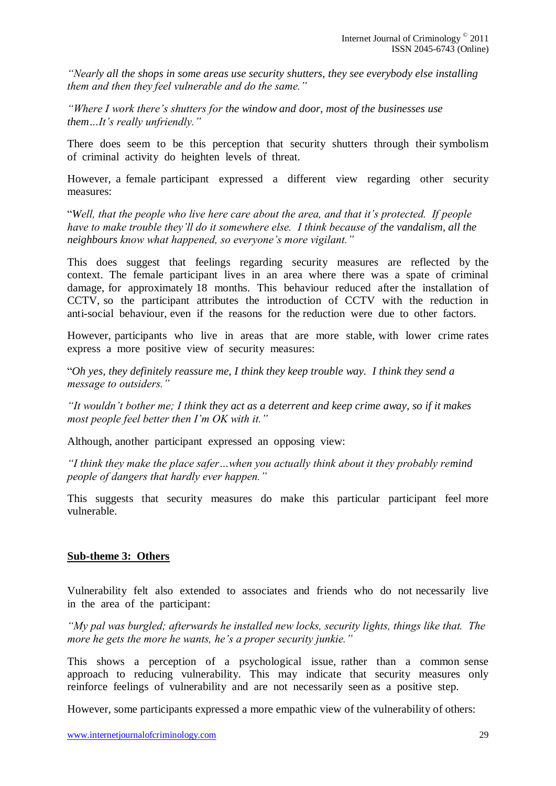*"Nearly all the shops in some areas use security shutters, they see everybody else installing them and then they feel vulnerable and do the same."*

*"Where I work there"s shutters for the window and door, most of the businesses use them…It"s really unfriendly."*

There does seem to be this perception that security shutters through their symbolism of criminal activity do heighten levels of threat.

However, a female participant expressed a different view regarding other security measures:

"*Well, that the people who live here care about the area, and that it"s protected. If people have to make trouble they"ll do it somewhere else. I think because of the vandalism, all the neighbours know what happened, so everyone"s more vigilant."*

This does suggest that feelings regarding security measures are reflected by the context. The female participant lives in an area where there was a spate of criminal damage, for approximately 18 months. This behaviour reduced after the installation of CCTV, so the participant attributes the introduction of CCTV with the reduction in anti-social behaviour, even if the reasons for the reduction were due to other factors.

However, participants who live in areas that are more stable, with lower crime rates express a more positive view of security measures:

"*Oh yes, they definitely reassure me, I think they keep trouble way. I think they send a message to outsiders."*

*"It wouldn"t bother me; I think they act as a deterrent and keep crime away, so if it makes most people feel better then I"m OK with it."*

Although, another participant expressed an opposing view:

*"I think they make the place safer…when you actually think about it they probably remind people of dangers that hardly ever happen."*

This suggests that security measures do make this particular participant feel more vulnerable.

#### <span id="page-28-0"></span>**Sub-theme 3: Others**

Vulnerability felt also extended to associates and friends who do not necessarily live in the area of the participant:

*"My pal was burgled; afterwards he installed new locks, security lights, things like that. The more he gets the more he wants, he"s a proper security junkie."*

This shows a perception of a psychological issue, rather than a common sense approach to reducing vulnerability. This may indicate that security measures only reinforce feelings of vulnerability and are not necessarily seen as a positive step.

However, some participants expressed a more empathic view of the vulnerability of others: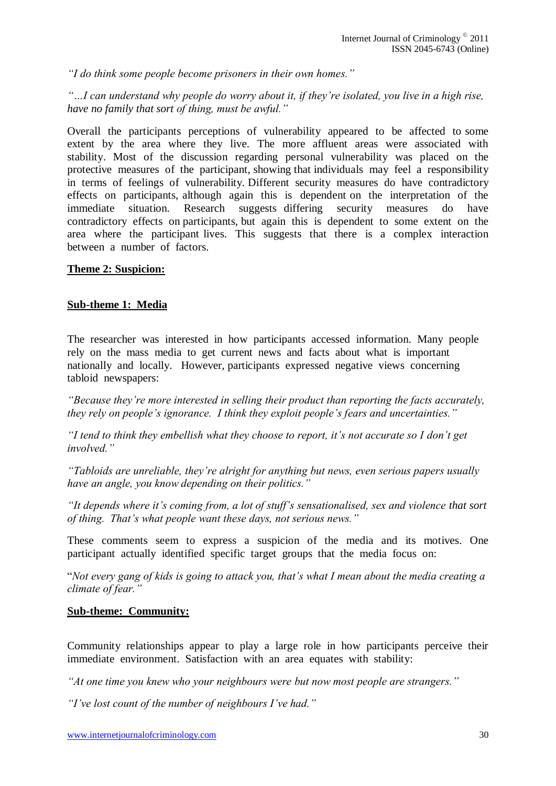*"I do think some people become prisoners in their own homes."*

*"…I can understand why people do worry about it, if they"re isolated, you live in a high rise, have no family that sort of thing, must be awful."*

Overall the participants perceptions of vulnerability appeared to be affected to some extent by the area where they live. The more affluent areas were associated with stability. Most of the discussion regarding personal vulnerability was placed on the protective measures of the participant, showing that individuals may feel a responsibility in terms of feelings of vulnerability. Different security measures do have contradictory effects on participants, although again this is dependent on the interpretation of the immediate situation. Research suggests differing security measures do have contradictory effects on participants, but again this is dependent to some extent on the area where the participant lives. This suggests that there is a complex interaction between a number of factors.

# <span id="page-29-0"></span>**Theme 2: Suspicion:**

#### <span id="page-29-1"></span>**Sub-theme 1: Media**

The researcher was interested in how participants accessed information. Many people rely on the mass media to get current news and facts about what is important nationally and locally. However, participants expressed negative views concerning tabloid newspapers:

*"Because they"re more interested in selling their product than reporting the facts accurately, they rely on people"s ignorance. I think they exploit people"s fears and uncertainties."*

*"I tend to think they embellish what they choose to report, it"s not accurate so I don"t get involved."*

*"Tabloids are unreliable, they"re alright for anything but news, even serious papers usually have an angle, you know depending on their politics."*

*"It depends where it"s coming from, a lot of stuff"s sensationalised, sex and violence that sort of thing. That"s what people want these days, not serious news."*

These comments seem to express a suspicion of the media and its motives. One participant actually identified specific target groups that the media focus on:

"*Not every gang of kids is going to attack you, that"s what I mean about the media creating a climate of fear."*

#### <span id="page-29-2"></span>**Sub-theme: Community:**

Community relationships appear to play a large role in how participants perceive their immediate environment. Satisfaction with an area equates with stability:

*"At one time you knew who your neighbours were but now most people are strangers."*

*"I"ve lost count of the number of neighbours I"ve had."*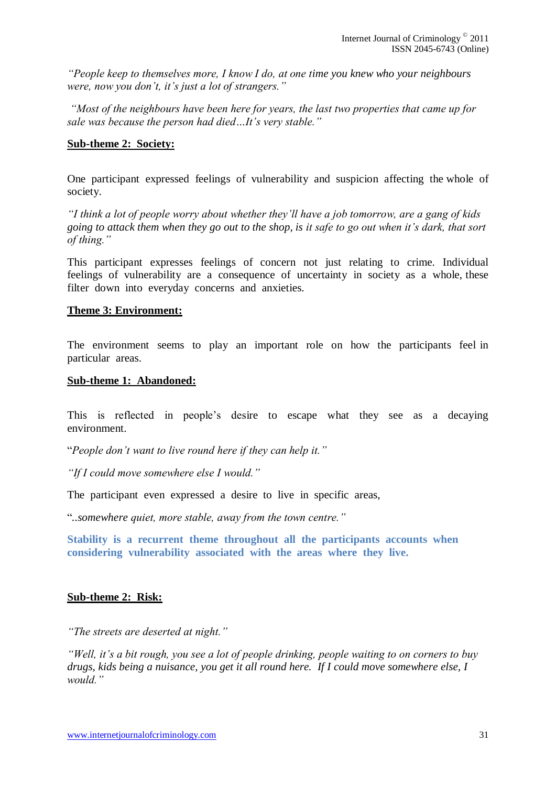*"People keep to themselves more, I know I do, at one time you knew who your neighbours were, now you don"t, it"s just a lot of strangers."*

*"Most of the neighbours have been here for years, the last two properties that came up for sale was because the person had died…It"s very stable."*

#### <span id="page-30-0"></span>**Sub-theme 2: Society:**

One participant expressed feelings of vulnerability and suspicion affecting the whole of society.

*"I think a lot of people worry about whether they"ll have a job tomorrow, are a gang of kids going to attack them when they go out to the shop, is it safe to go out when it"s dark, that sort of thing."*

This participant expresses feelings of concern not just relating to crime. Individual feelings of vulnerability are a consequence of uncertainty in society as a whole, these filter down into everyday concerns and anxieties.

#### <span id="page-30-1"></span>**Theme 3: Environment:**

The environment seems to play an important role on how the participants feel in particular areas.

#### <span id="page-30-2"></span>**Sub-theme 1: Abandoned:**

This is reflected in people's desire to escape what they see as a decaying environment.

"*People don"t want to live round here if they can help it."*

*"If I could move somewhere else I would."*

The participant even expressed a desire to live in specific areas,

"*..somewhere quiet, more stable, away from the town centre."*

<span id="page-30-3"></span>**Stability is a recurrent theme throughout all the participants accounts when considering vulnerability associated with the areas where they live.**

#### <span id="page-30-4"></span>**Sub-theme 2: Risk:**

*"The streets are deserted at night."*

*"Well, it"s a bit rough, you see a lot of people drinking, people waiting to on corners to buy drugs, kids being a nuisance, you get it all round here. If I could move somewhere else, I would."*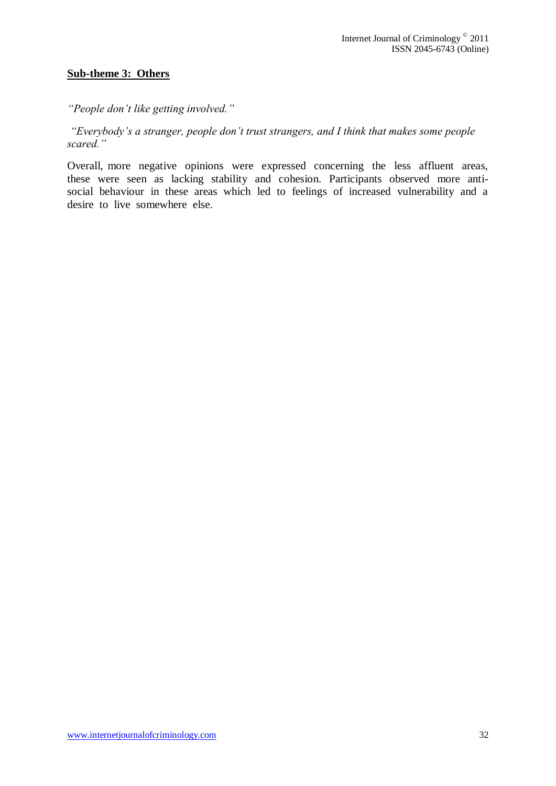# <span id="page-31-0"></span>**Sub-theme 3: Others**

*"People don"t like getting involved."*

*"Everybody"s a stranger, people don"t trust strangers, and I think that makes some people scared."*

Overall, more negative opinions were expressed concerning the less affluent areas, these were seen as lacking stability and cohesion. Participants observed more antisocial behaviour in these areas which led to feelings of increased vulnerability and a desire to live somewhere else.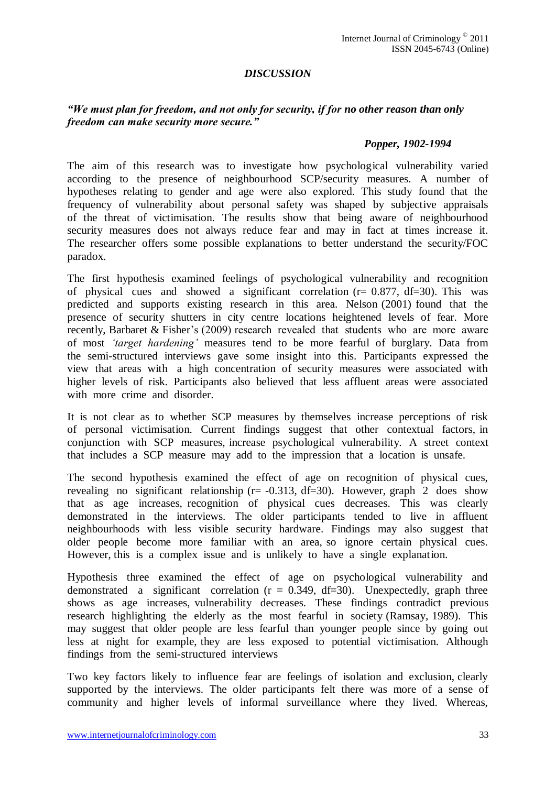# *DISCUSSION*

## <span id="page-32-0"></span>*"We must plan for freedom, and not only for security, if for no other reason than only freedom can make security more secure."*

#### *Popper, 1902-1994*

The aim of this research was to investigate how psychological vulnerability varied according to the presence of neighbourhood SCP/security measures. A number of hypotheses relating to gender and age were also explored. This study found that the frequency of vulnerability about personal safety was shaped by subjective appraisals of the threat of victimisation. The results show that being aware of neighbourhood security measures does not always reduce fear and may in fact at times increase it. The researcher offers some possible explanations to better understand the security/FOC paradox.

The first hypothesis examined feelings of psychological vulnerability and recognition of physical cues and showed a significant correlation  $(r= 0.877, df=30)$ . This was predicted and supports existing research in this area. Nelson (2001) found that the presence of security shutters in city centre locations heightened levels of fear. More recently, Barbaret & Fisher"s (2009) research revealed that students who are more aware of most *"target hardening"* measures tend to be more fearful of burglary. Data from the semi-structured interviews gave some insight into this. Participants expressed the view that areas with a high concentration of security measures were associated with higher levels of risk. Participants also believed that less affluent areas were associated with more crime and disorder.

It is not clear as to whether SCP measures by themselves increase perceptions of risk of personal victimisation. Current findings suggest that other contextual factors, in conjunction with SCP measures, increase psychological vulnerability. A street context that includes a SCP measure may add to the impression that a location is unsafe.

The second hypothesis examined the effect of age on recognition of physical cues, revealing no significant relationship (r= -0.313, df=30). However, graph 2 does show that as age increases, recognition of physical cues decreases. This was clearly demonstrated in the interviews. The older participants tended to live in affluent neighbourhoods with less visible security hardware. Findings may also suggest that older people become more familiar with an area, so ignore certain physical cues. However, this is a complex issue and is unlikely to have a single explanation.

Hypothesis three examined the effect of age on psychological vulnerability and demonstrated a significant correlation  $(r = 0.349, df = 30)$ . Unexpectedly, graph three shows as age increases, vulnerability decreases. These findings contradict previous research highlighting the elderly as the most fearful in society (Ramsay, 1989). This may suggest that older people are less fearful than younger people since by going out less at night for example, they are less exposed to potential victimisation. Although findings from the semi-structured interviews

Two key factors likely to influence fear are feelings of isolation and exclusion, clearly supported by the interviews. The older participants felt there was more of a sense of community and higher levels of informal surveillance where they lived. Whereas,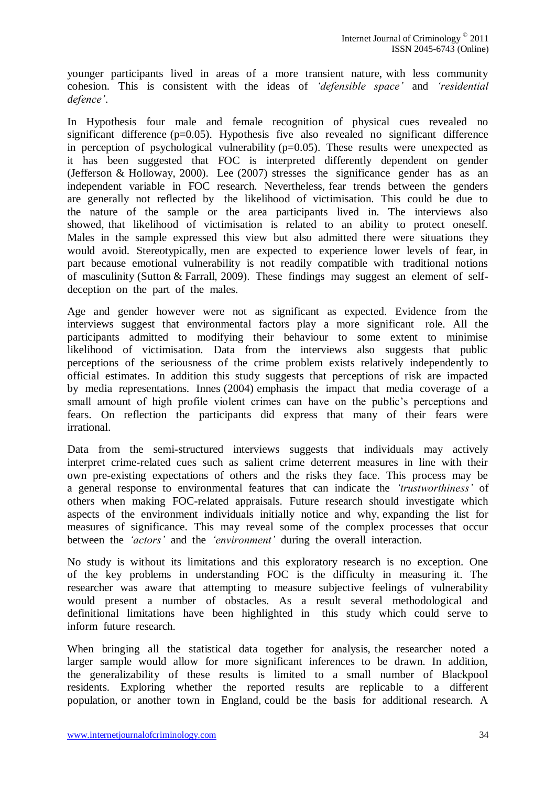younger participants lived in areas of a more transient nature, with less community cohesion. This is consistent with the ideas of *"defensible space"* and *"residential defence"*.

In Hypothesis four male and female recognition of physical cues revealed no significant difference (p=0.05). Hypothesis five also revealed no significant difference in perception of psychological vulnerability  $(p=0.05)$ . These results were unexpected as it has been suggested that FOC is interpreted differently dependent on gender (Jefferson & Holloway, 2000). Lee (2007) stresses the significance gender has as an independent variable in FOC research. Nevertheless, fear trends between the genders are generally not reflected by the likelihood of victimisation. This could be due to the nature of the sample or the area participants lived in. The interviews also showed, that likelihood of victimisation is related to an ability to protect oneself. Males in the sample expressed this view but also admitted there were situations they would avoid. Stereotypically, men are expected to experience lower levels of fear, in part because emotional vulnerability is not readily compatible with traditional notions of masculinity (Sutton & Farrall, 2009). These findings may suggest an element of selfdeception on the part of the males.

Age and gender however were not as significant as expected. Evidence from the interviews suggest that environmental factors play a more significant role. All the participants admitted to modifying their behaviour to some extent to minimise likelihood of victimisation. Data from the interviews also suggests that public perceptions of the seriousness of the crime problem exists relatively independently to official estimates. In addition this study suggests that perceptions of risk are impacted by media representations. Innes (2004) emphasis the impact that media coverage of a small amount of high profile violent crimes can have on the public's perceptions and fears. On reflection the participants did express that many of their fears were irrational.

Data from the semi-structured interviews suggests that individuals may actively interpret crime-related cues such as salient crime deterrent measures in line with their own pre-existing expectations of others and the risks they face. This process may be a general response to environmental features that can indicate the *"trustworthiness"* of others when making FOC-related appraisals. Future research should investigate which aspects of the environment individuals initially notice and why, expanding the list for measures of significance. This may reveal some of the complex processes that occur between the *"actors"* and the *"environment"* during the overall interaction.

No study is without its limitations and this exploratory research is no exception. One of the key problems in understanding FOC is the difficulty in measuring it. The researcher was aware that attempting to measure subjective feelings of vulnerability would present a number of obstacles. As a result several methodological and definitional limitations have been highlighted in this study which could serve to inform future research.

When bringing all the statistical data together for analysis, the researcher noted a larger sample would allow for more significant inferences to be drawn. In addition, the generalizability of these results is limited to a small number of Blackpool residents. Exploring whether the reported results are replicable to a different population, or another town in England, could be the basis for additional research. A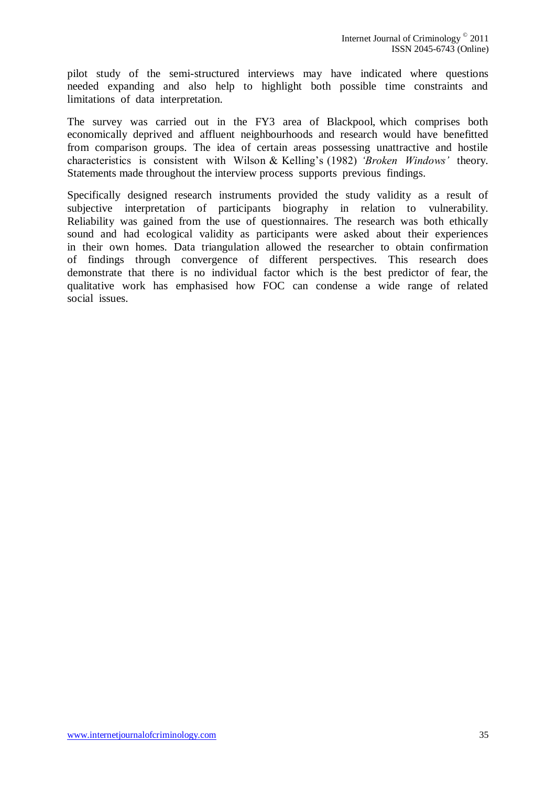pilot study of the semi-structured interviews may have indicated where questions needed expanding and also help to highlight both possible time constraints and limitations of data interpretation.

The survey was carried out in the FY3 area of Blackpool, which comprises both economically deprived and affluent neighbourhoods and research would have benefitted from comparison groups. The idea of certain areas possessing unattractive and hostile characteristics is consistent with Wilson & Kelling"s (1982) *"Broken Windows"* theory. Statements made throughout the interview process supports previous findings.

Specifically designed research instruments provided the study validity as a result of subjective interpretation of participants biography in relation to vulnerability. Reliability was gained from the use of questionnaires. The research was both ethically sound and had ecological validity as participants were asked about their experiences in their own homes. Data triangulation allowed the researcher to obtain confirmation of findings through convergence of different perspectives. This research does demonstrate that there is no individual factor which is the best predictor of fear, the qualitative work has emphasised how FOC can condense a wide range of related social issues.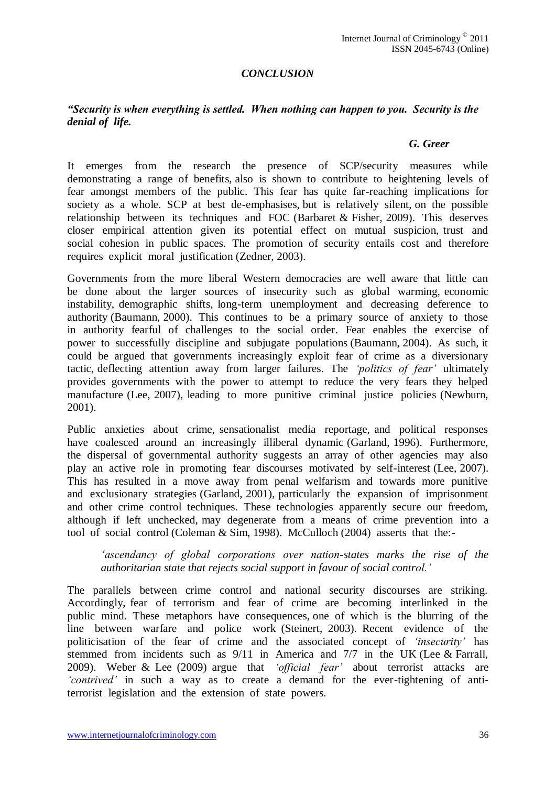# *CONCLUSION*

## <span id="page-35-0"></span>*"Security is when everything is settled. When nothing can happen to you. Security is the denial of life.*

#### *G. Greer*

It emerges from the research the presence of SCP/security measures while demonstrating a range of benefits, also is shown to contribute to heightening levels of fear amongst members of the public. This fear has quite far-reaching implications for society as a whole. SCP at best de-emphasises, but is relatively silent, on the possible relationship between its techniques and FOC (Barbaret & Fisher, 2009). This deserves closer empirical attention given its potential effect on mutual suspicion, trust and social cohesion in public spaces. The promotion of security entails cost and therefore requires explicit moral justification (Zedner, 2003).

Governments from the more liberal Western democracies are well aware that little can be done about the larger sources of insecurity such as global warming, economic instability, demographic shifts, long-term unemployment and decreasing deference to authority (Baumann, 2000). This continues to be a primary source of anxiety to those in authority fearful of challenges to the social order. Fear enables the exercise of power to successfully discipline and subjugate populations (Baumann, 2004). As such, it could be argued that governments increasingly exploit fear of crime as a diversionary tactic, deflecting attention away from larger failures. The *"politics of fear"* ultimately provides governments with the power to attempt to reduce the very fears they helped manufacture (Lee, 2007), leading to more punitive criminal justice policies (Newburn, 2001).

Public anxieties about crime, sensationalist media reportage, and political responses have coalesced around an increasingly illiberal dynamic (Garland, 1996). Furthermore, the dispersal of governmental authority suggests an array of other agencies may also play an active role in promoting fear discourses motivated by self-interest (Lee, 2007). This has resulted in a move away from penal welfarism and towards more punitive and exclusionary strategies (Garland, 2001), particularly the expansion of imprisonment and other crime control techniques. These technologies apparently secure our freedom, although if left unchecked, may degenerate from a means of crime prevention into a tool of social control (Coleman & Sim, 1998). McCulloch (2004) asserts that the:-

*"ascendancy of global corporations over nation-states marks the rise of the authoritarian state that rejects social support in favour of social control."* 

The parallels between crime control and national security discourses are striking. Accordingly, fear of terrorism and fear of crime are becoming interlinked in the public mind. These metaphors have consequences, one of which is the blurring of the line between warfare and police work (Steinert, 2003). Recent evidence of the politicisation of the fear ofcrime and the associated concept of *"insecurity"* has stemmed from incidents such as 9/11 in America and 7/7 in the UK (Lee & Farrall, 2009). Weber & Lee (2009) argue that *"official fear"* about terrorist attacks are *"contrived"* in such a way as to create a demand for the ever-tightening of antiterrorist legislation and the extension of state powers.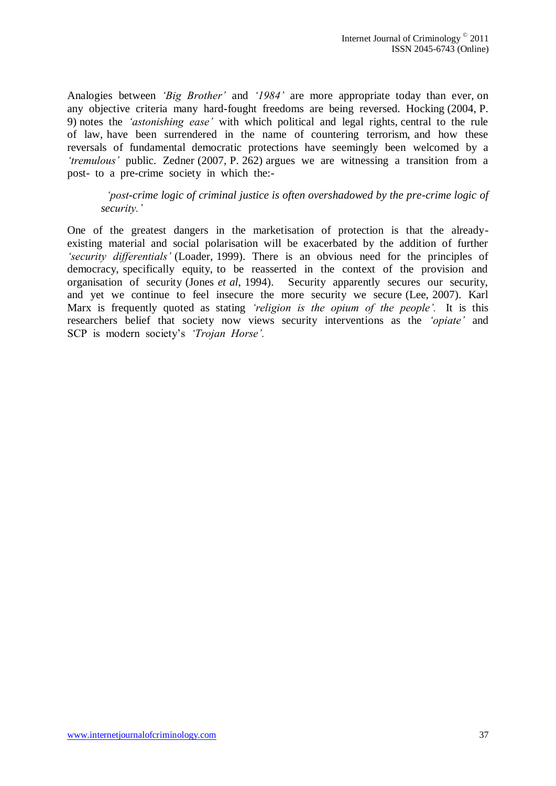Analogies between *"Big Brother"* and *"1984"* are more appropriate today than ever, on any objective criteria many hard-fought freedoms are being reversed. Hocking (2004, P. 9) notes the *"astonishing ease"* with which political and legal rights, central to the rule of law, have been surrendered in the name of countering terrorism, and how these reversals of fundamental democratic protections have seemingly been welcomed by a *"tremulous"* public. Zedner (2007, P. 262) argues we are witnessing a transition from a post- to a pre-crime society in which the:-

# *"post-crime logic of criminal justice is often overshadowed by the pre-crime logic of security."*

One of the greatest dangers in the marketisation of protection is that the alreadyexisting material and social polarisation will be exacerbated by the addition of further *"security differentials"* (Loader, 1999). There is an obvious need for the principles of democracy, specifically equity, to be reasserted in the context of the provision and organisation of security (Jones *et al*, 1994). Security apparently secures our security, and yet we continue to feel insecure the more security we secure (Lee, 2007). Karl Marx is frequently quoted as stating *"religion is the opium of the people".* It is this researchers belief that society now views security interventions as the *"opiate"* and SCP is modern society's *'Trojan Horse'*.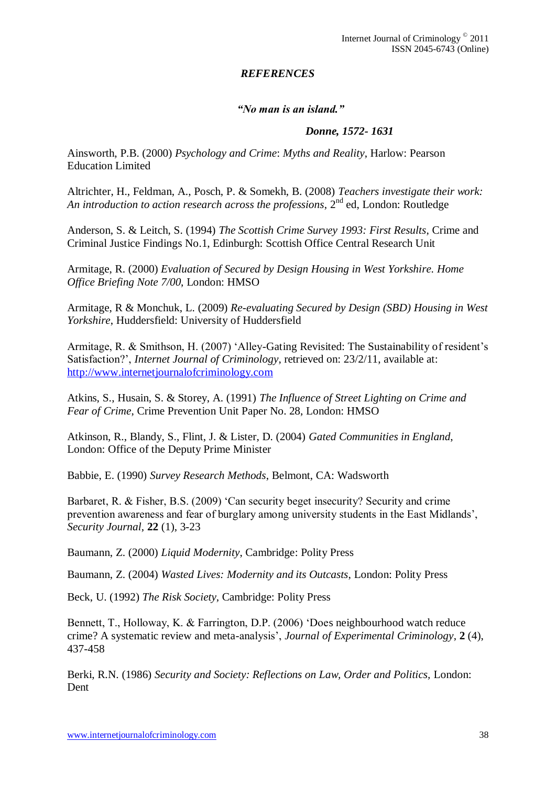# *REFERENCES*

# *"No man is an island."*

# *Donne, 1572- 1631*

<span id="page-37-0"></span>Ainsworth, P.B. (2000) *Psychology and Crime*: *Myths and Reality*, Harlow: Pearson Education Limited

Altrichter, H., Feldman, A., Posch, P. & Somekh, B. (2008) *Teachers investigate their work: An introduction to action research across the professions*,  $2^{nd}$  ed, London: Routledge

Anderson, S. & Leitch, S. (1994) *The Scottish Crime Survey 1993: First Results*, Crime and Criminal Justice Findings No.1, Edinburgh: Scottish Office Central Research Unit

Armitage, R. (2000) *Evaluation of Secured by Design Housing in West Yorkshire. Home Office Briefing Note 7/00*, London: HMSO

Armitage, R & Monchuk, L. (2009) *Re-evaluating Secured by Design (SBD) Housing in West Yorkshire*, Huddersfield: University of Huddersfield

Armitage, R. & Smithson, H. (2007) "Alley-Gating Revisited: The Sustainability of resident"s Satisfaction?", *Internet Journal of Criminology*, retrieved on: 23/2/11, available at: [http://www.internetjournalofcriminology.com](http://www.internetjournalofcriminology.com/)

Atkins, S., Husain, S. & Storey, A. (1991) *The Influence of Street Lighting on Crime and Fear of Crime*, Crime Prevention Unit Paper No. 28, London: HMSO

Atkinson, R., Blandy, S., Flint, J. & Lister, D. (2004) *Gated Communities in England*, London: Office of the Deputy Prime Minister

Babbie, E. (1990) *Survey Research Methods*, Belmont, CA: Wadsworth

Barbaret, R. & Fisher, B.S. (2009) 'Can security beget insecurity? Security and crime prevention awareness and fear of burglary among university students in the East Midlands", *Security Journal*, **22** (1), 3-23

Baumann, Z. (2000) *Liquid Modernity*, Cambridge: Polity Press

Baumann, Z. (2004) *Wasted Lives: Modernity and its Outcasts*, London: Polity Press

Beck, U. (1992) *The Risk Society*, Cambridge: Polity Press

Bennett, T., Holloway, K. & Farrington, D.P. (2006) "Does neighbourhood watch reduce crime? A systematic review and meta-analysis", *Journal of Experimental Criminology*, **2** (4), 437-458

Berki, R.N. (1986) *Security and Society: Reflections on Law, Order and Politics,* London: Dent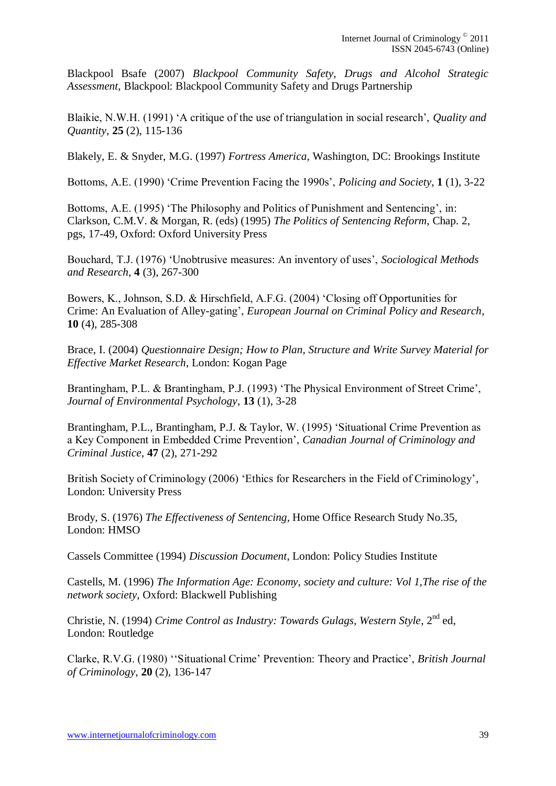Blackpool Bsafe (2007) *Blackpool Community Safety, Drugs and Alcohol Strategic Assessment*, Blackpool: Blackpool Community Safety and Drugs Partnership

Blaikie, N.W.H. (1991) "A critique of the use of triangulation in social research", *Quality and Quantity*, **25** (2), 115-136

Blakely, E. & Snyder, M.G. (1997) *Fortress America*, Washington, DC: Brookings Institute

Bottoms, A.E. (1990) "Crime Prevention Facing the 1990s", *Policing and Society*, **1** (1), 3-22

Bottoms, A.E. (1995) 'The Philosophy and Politics of Punishment and Sentencing', in: Clarkson, C.M.V. & Morgan, R. (eds) (1995) *The Politics of Sentencing Reform*, Chap. 2, pgs, 17-49, Oxford: Oxford University Press

Bouchard, T.J. (1976) "Unobtrusive measures: An inventory of uses", *Sociological Methods and Research*, **4** (3), 267-300

Bowers, K., Johnson, S.D. & Hirschfield, A.F.G. (2004) "Closing off Opportunities for Crime: An Evaluation of Alley-gating", *European Journal on Criminal Policy and Research*, **10** (4), 285-308

Brace, I. (2004) *Questionnaire Design; How to Plan, Structure and Write Survey Material for Effective Market Research*, London: Kogan Page

Brantingham, P.L. & Brantingham, P.J. (1993) 'The Physical Environment of Street Crime', *Journal of Environmental Psychology*, **13** (1), 3-28

Brantingham, P.L., Brantingham, P.J. & Taylor, W. (1995) "Situational Crime Prevention as a Key Component in Embedded Crime Prevention", *Canadian Journal of Criminology and Criminal Justice*, **47** (2), 271-292

British Society of Criminology (2006) "Ethics for Researchers in the Field of Criminology", London: University Press

Brody, S. (1976) *The Effectiveness of Sentencing*, Home Office Research Study No.35, London: HMSO

Cassels Committee (1994) *Discussion Document*, London: Policy Studies Institute

Castells, M. (1996) *The Information Age: Economy, society and culture: Vol 1,The rise of the network society*, Oxford: Blackwell Publishing

Christie, N. (1994) *Crime Control as Industry: Towards Gulags, Western Style*, 2nd ed, London: Routledge

Clarke, R.V.G. (1980) ""Situational Crime" Prevention: Theory and Practice", *British Journal of Criminology*, **20** (2), 136-147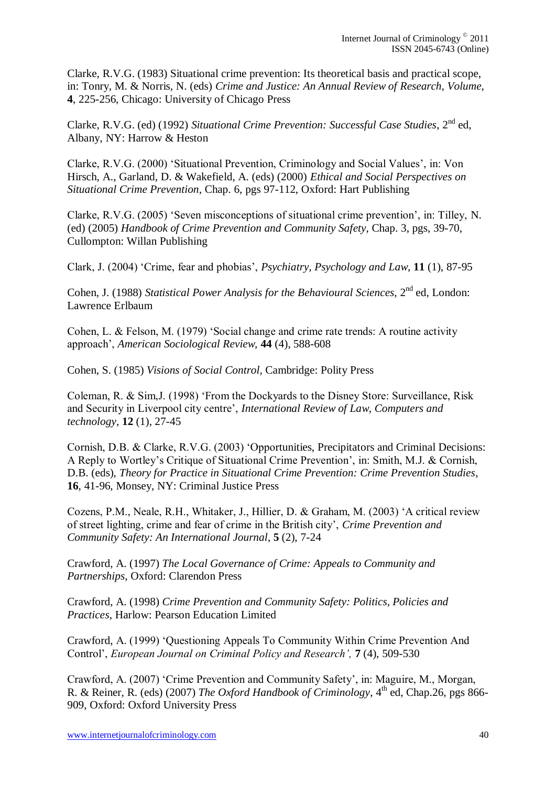Clarke, R.V.G. (1983) Situational crime prevention: Its theoretical basis and practical scope, in: Tonry, M. & Norris, N. (eds) *Crime and Justice: An Annual Review of Research, Volume,* **4**, 225-256, Chicago: University of Chicago Press

Clarke, R.V.G. (ed) (1992) *Situational Crime Prevention: Successful Case Studies*, 2nd ed, Albany, NY: Harrow & Heston

Clarke, R.V.G. (2000) "Situational Prevention, Criminology and Social Values", in: Von Hirsch, A., Garland, D. & Wakefield, A. (eds) (2000) *Ethical and Social Perspectives on Situational Crime Prevention*, Chap. 6, pgs 97-112, Oxford: Hart Publishing

Clarke, R.V.G. (2005) "Seven misconceptions of situational crime prevention", in: Tilley, N. (ed) (2005) *Handbook of Crime Prevention and Community Safety*, Chap. 3, pgs, 39-70, Cullompton: Willan Publishing

Clark, J. (2004) "Crime, fear and phobias", *Psychiatry, Psychology and Law*, **11** (1), 87-95

Cohen, J. (1988) *Statistical Power Analysis for the Behavioural Sciences*, 2nd ed, London: Lawrence Erlbaum

Cohen, L. & Felson, M. (1979) "Social change and crime rate trends: A routine activity approach", *American Sociological Review,* **44** (4), 588-608

Cohen, S. (1985) *Visions of Social Control,* Cambridge: Polity Press

Coleman, R. & Sim,J. (1998) "From the Dockyards to the Disney Store: Surveillance, Risk and Security in Liverpool city centre", *International Review of Law, Computers and technology*, **12** (1), 27-45

Cornish, D.B. & Clarke, R.V.G. (2003) "Opportunities, Precipitators and Criminal Decisions: A Reply to Wortley"s Critique of Situational Crime Prevention", in: Smith, M.J. & Cornish, D.B. (eds), *Theory for Practice in Situational Crime Prevention: Crime Prevention Studies*, **16**, 41-96, Monsey, NY: Criminal Justice Press

Cozens, P.M., Neale, R.H., Whitaker, J., Hillier, D. & Graham, M. (2003) "A critical review of street lighting, crime and fear of crime in the British city", *Crime Prevention and Community Safety: An International Journal*, **5** (2), 7-24

Crawford, A. (1997) *The Local Governance of Crime: Appeals to Community and Partnerships*, Oxford: Clarendon Press

Crawford, A. (1998) *Crime Prevention and Community Safety: Politics, Policies and Practices*, Harlow: Pearson Education Limited

Crawford, A. (1999) "Questioning Appeals To Community Within Crime Prevention And Control", *European Journal on Criminal Policy and Research",* **7** (4), 509-530

Crawford, A. (2007) "Crime Prevention and Community Safety", in: Maguire, M., Morgan, R. & Reiner, R. (eds) (2007) *The Oxford Handbook of Criminology*, 4<sup>th</sup> ed, Chap.26, pgs 866-909, Oxford: Oxford University Press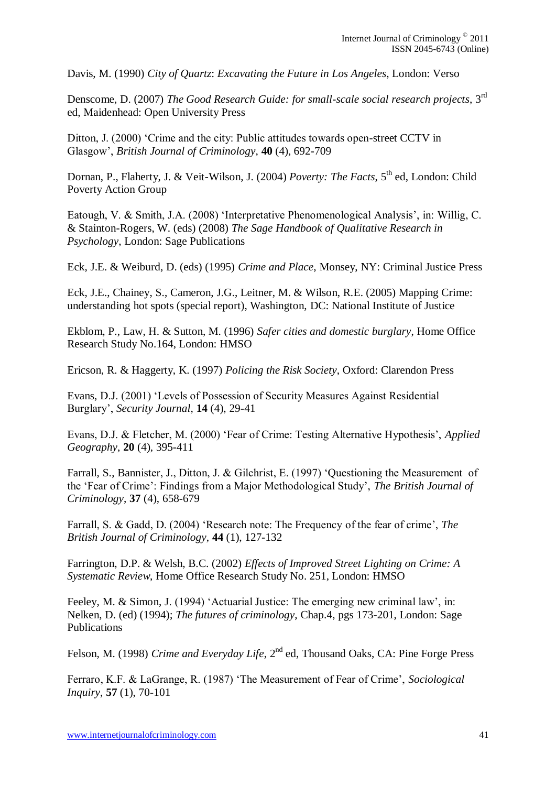Davis, M. (1990) *City of Quartz*: *Excavating the Future in Los Angeles*, London: Verso

Denscome, D. (2007) *The Good Research Guide: for small-scale social research projects*, 3rd ed, Maidenhead: Open University Press

Ditton, J. (2000) "Crime and the city: Public attitudes towards open-street CCTV in Glasgow", *British Journal of Criminology*, **40** (4), 692-709

Dornan, P., Flaherty, J. & Veit-Wilson, J. (2004) *Poverty: The Facts*, 5<sup>th</sup> ed, London: Child Poverty Action Group

Eatough, V. & Smith, J.A. (2008) 'Interpretative Phenomenological Analysis', in: Willig, C. & Stainton-Rogers, W. (eds) (2008) *The Sage Handbook of Qualitative Research in Psychology*, London: Sage Publications

Eck, J.E. & Weiburd, D. (eds) (1995) *Crime and Place*, Monsey, NY: Criminal Justice Press

Eck, J.E., Chainey, S., Cameron, J.G., Leitner, M. & Wilson, R.E. (2005) Mapping Crime: understanding hot spots (special report), Washington, DC: National Institute of Justice

Ekblom, P., Law, H. & Sutton, M. (1996) *Safer cities and domestic burglary*, Home Office Research Study No.164, London: HMSO

Ericson, R. & Haggerty, K. (1997) *Policing the Risk Society*, Oxford: Clarendon Press

Evans, D.J. (2001) "Levels of Possession of Security Measures Against Residential Burglary", *Security Journal*, **14** (4), 29-41

Evans, D.J. & Fletcher, M. (2000) "Fear of Crime: Testing Alternative Hypothesis", *Applied Geography*, **20** (4), 395-411

Farrall, S., Bannister, J., Ditton, J. & Gilchrist, E. (1997) "Questioning the Measurement of the "Fear of Crime": Findings from a Major Methodological Study", *The British Journal of Criminology*, **37** (4), 658-679

Farrall, S. & Gadd, D. (2004) "Research note: The Frequency of the fear of crime", *The British Journal of Criminology*, **44** (1), 127-132

Farrington, D.P. & Welsh, B.C. (2002) *Effects of Improved Street Lighting on Crime: A Systematic Review*, Home Office Research Study No. 251, London: HMSO

Feeley, M. & Simon, J. (1994) 'Actuarial Justice: The emerging new criminal law', in: Nelken, D. (ed) (1994); *The futures of criminology*, Chap.4, pgs 173-201, London: Sage Publications

Felson, M. (1998) *Crime and Everyday Life*, 2<sup>nd</sup> ed, Thousand Oaks, CA: Pine Forge Press

Ferraro, K.F. & LaGrange, R. (1987) "The Measurement of Fear of Crime", *Sociological Inquiry*, **57** (1), 70-101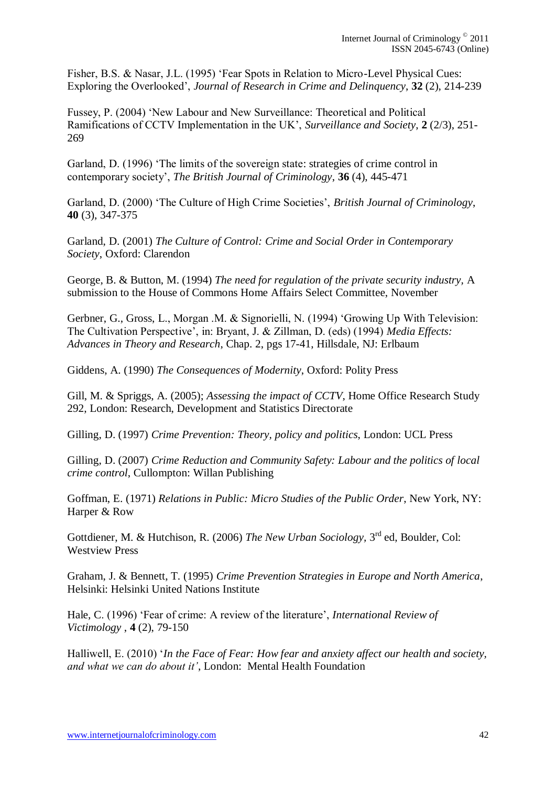Fisher, B.S. & Nasar, J.L. (1995) "Fear Spots in Relation to Micro-Level Physical Cues: Exploring the Overlooked", *Journal of Research in Crime and Delinquency*, **32** (2), 214-239

Fussey, P. (2004) "New Labour and New Surveillance: Theoretical and Political Ramifications of CCTV Implementation in the UK", *Surveillance and Society*, **2** (2/3), 251- 269

Garland, D. (1996) "The limits of the sovereign state: strategies of crime control in contemporary society", *The British Journal of Criminology*, **36** (4), 445-471

Garland, D. (2000) "The Culture of High Crime Societies", *British Journal of Criminology*, **40** (3), 347-375

Garland, D. (2001) *The Culture of Control: Crime and Social Order in Contemporary Society*, Oxford: Clarendon

George, B. & Button, M. (1994) *The need for regulation of the private security industry,* A submission to the House of Commons Home Affairs Select Committee, November

Gerbner, G., Gross, L., Morgan .M. & Signorielli, N. (1994) "Growing Up With Television: The Cultivation Perspective", in: Bryant, J. & Zillman, D. (eds) (1994) *Media Effects: Advances in Theory and Research*, Chap. 2, pgs 17-41, Hillsdale, NJ: Erlbaum

Giddens, A. (1990) *The Consequences of Modernity*, Oxford: Polity Press

Gill, M. & Spriggs, A. (2005); *Assessing the impact of CCTV*, Home Office Research Study 292, London: Research, Development and Statistics Directorate

Gilling, D. (1997) *Crime Prevention: Theory, policy and politics*, London: UCL Press

Gilling, D. (2007) *Crime Reduction and Community Safety: Labour and the politics of local crime control*, Cullompton: Willan Publishing

Goffman, E. (1971) *Relations in Public: Micro Studies of the Public Order*, New York, NY: Harper & Row

Gottdiener, M. & Hutchison, R. (2006) *The New Urban Sociology*, 3<sup>rd</sup> ed, Boulder, Col: Westview Press

Graham, J. & Bennett, T. (1995) *Crime Prevention Strategies in Europe and North America*, Helsinki: Helsinki United Nations Institute

Hale, C. (1996) "Fear of crime: A review of the literature", *International Review of Victimology* , **4** (2), 79-150

Halliwell, E. (2010) "*In the Face of Fear: How fear and anxiety affect our health and society, and what we can do about it"*, London: Mental Health Foundation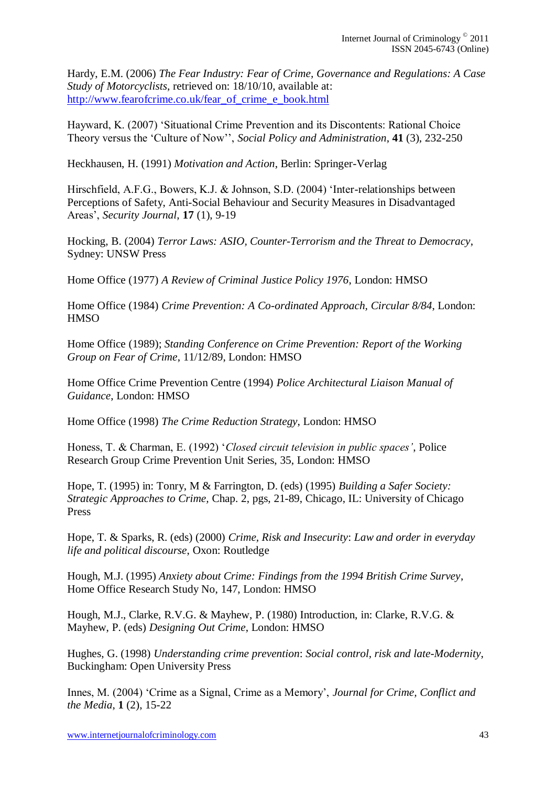Hardy, E.M. (2006) *The Fear Industry: Fear of Crime, Governance and Regulations: A Case Study of Motorcyclists*, retrieved on: 18/10/10, available at: [http://www.fearofcrime.co.uk/fear\\_of\\_crime\\_e\\_book.html](http://www.fearofcrime.co.uk/fear_of_crime_e_book.html)

Hayward, K. (2007) "Situational Crime Prevention and its Discontents: Rational Choice Theory versus the "Culture of Now"", *Social Policy and Administration*, **41** (3), 232-250

Heckhausen, H. (1991) *Motivation and Action*, Berlin: Springer-Verlag

Hirschfield, A.F.G., Bowers, K.J. & Johnson, S.D. (2004) "Inter-relationships between Perceptions of Safety, Anti-Social Behaviour and Security Measures in Disadvantaged Areas", *Security Journal*, **17** (1), 9-19

Hocking, B. (2004) *Terror Laws: ASIO, Counter-Terrorism and the Threat to Democracy*, Sydney: UNSW Press

Home Office (1977) *A Review of Criminal Justice Policy 1976*, London: HMSO

Home Office (1984) *Crime Prevention: A Co-ordinated Approach, Circular 8/84*, London: **HMSO** 

Home Office (1989); *Standing Conference on Crime Prevention: Report of the Working Group on Fear of Crime*, 11/12/89, London: HMSO

Home Office Crime Prevention Centre (1994) *Police Architectural Liaison Manual of Guidance*, London: HMSO

Home Office (1998) *The Crime Reduction Strategy*, London: HMSO

Honess, T. & Charman, E. (1992) "*Closed circuit television in public spaces"*, Police Research Group Crime Prevention Unit Series, 35, London: HMSO

Hope, T. (1995) in: Tonry, M & Farrington, D. (eds) (1995) *Building a Safer Society: Strategic Approaches to Crime,* Chap. 2, pgs, 21-89, Chicago, IL: University of Chicago Press

Hope, T. & Sparks, R. (eds) (2000) *Crime, Risk and Insecurity*: *Law and order in everyday life and political discourse*, Oxon: Routledge

Hough, M.J. (1995) *Anxiety about Crime: Findings from the 1994 British Crime Survey*, Home Office Research Study No, 147, London: HMSO

Hough, M.J., Clarke, R.V.G. & Mayhew, P. (1980) Introduction, in: Clarke, R.V.G. & Mayhew, P. (eds) *Designing Out Crime*, London: HMSO

Hughes, G. (1998) *Understanding crime prevention*: *Social control, risk and late-Modernity*, Buckingham: Open University Press

Innes, M. (2004) "Crime as a Signal, Crime as a Memory", *Journal for Crime, Conflict and the Media*, **1** (2), 15-22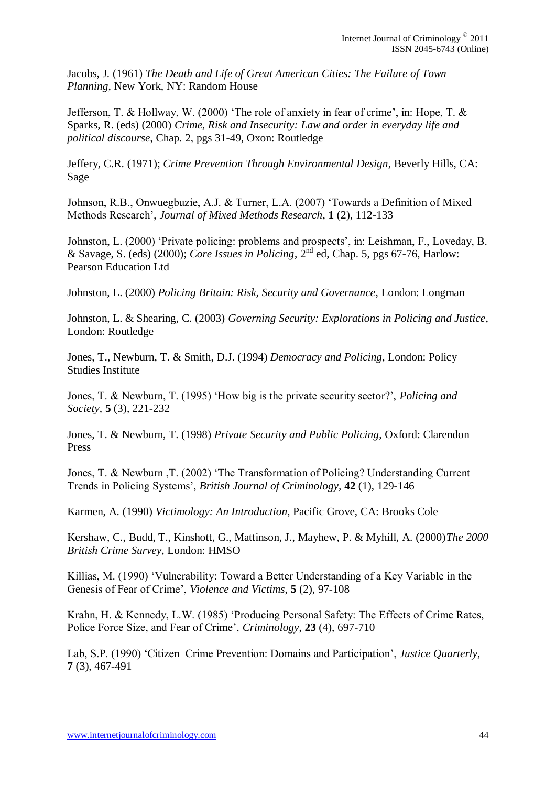Jacobs, J. (1961) *The Death and Life of Great American Cities: The Failure of Town Planning*, New York, NY: Random House

Jefferson, T. & Hollway, W. (2000) "The role of anxiety in fear of crime", in: Hope, T. & Sparks, R. (eds) (2000) *Crime, Risk and Insecurity: Law and order in everyday life and political discourse,* Chap. 2, pgs 31-49, Oxon: Routledge

Jeffery, C.R. (1971); *Crime Prevention Through Environmental Design*, Beverly Hills, CA: Sage

Johnson, R.B., Onwuegbuzie, A.J. & Turner, L.A. (2007) "Towards a Definition of Mixed Methods Research", *Journal of Mixed Methods Research*, **1** (2), 112-133

Johnston, L. (2000) "Private policing: problems and prospects", in: Leishman, F., Loveday, B. & Savage, S. (eds) (2000); *Core Issues in Policing*, 2nd ed, Chap. 5, pgs 67-76, Harlow: Pearson Education Ltd

Johnston, L. (2000) *Policing Britain: Risk, Security and Governance*, London: Longman

Johnston, L. & Shearing, C. (2003) *Governing Security: Explorations in Policing and Justice*, London: Routledge

Jones, T., Newburn, T. & Smith, D.J. (1994) *Democracy and Policing*, London: Policy Studies Institute

Jones, T. & Newburn, T. (1995) "How big is the private security sector?", *Policing and Society*, **5** (3), 221-232

Jones, T. & Newburn, T. (1998) *Private Security and Public Policing*, Oxford: Clarendon Press

Jones, T. & Newburn ,T. (2002) "The Transformation of Policing? Understanding Current Trends in Policing Systems", *British Journal of Criminology,* **42** (1), 129-146

Karmen, A. (1990) *Victimology: An Introduction*, Pacific Grove, CA: Brooks Cole

Kershaw, C., Budd, T., Kinshott, G., Mattinson, J., Mayhew, P. & Myhill, A. (2000)*The 2000 British Crime Survey*, London: HMSO

Killias, M. (1990) "Vulnerability: Toward a Better Understanding of a Key Variable in the Genesis of Fear of Crime", *Violence and Victims*, **5** (2), 97-108

Krahn, H. & Kennedy, L.W. (1985) "Producing Personal Safety: The Effects of Crime Rates, Police Force Size, and Fear of Crime", *Criminology*, **23** (4), 697-710

Lab, S.P. (1990) "Citizen Crime Prevention: Domains and Participation", *Justice Quarterly*, **7** (3), 467-491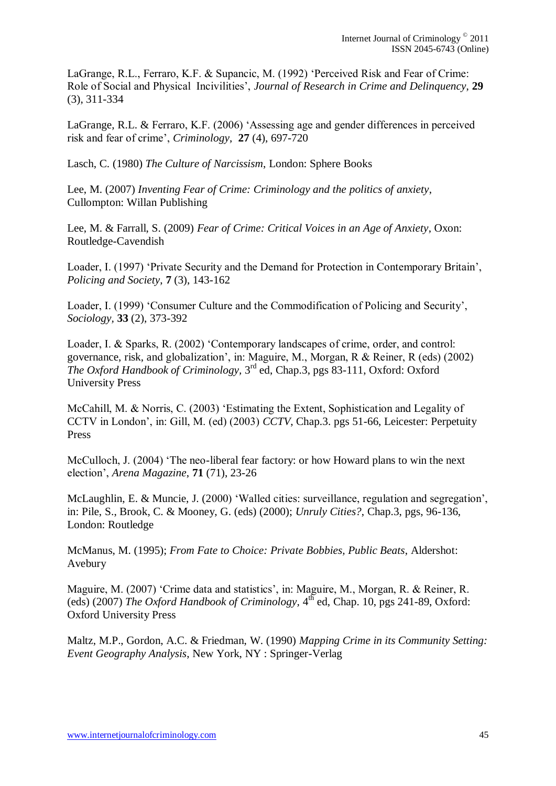LaGrange, R.L., Ferraro, K.F. & Supancic, M. (1992) "Perceived Risk and Fear of Crime: Role of Social and Physical Incivilities", *Journal of Research in Crime and Delinquency*, **29** (3), 311-334

LaGrange, R.L. & Ferraro, K.F. (2006) "Assessing age and gender differences in perceived risk and fear of crime", *Criminology*, **27** (4), 697-720

Lasch, C. (1980) *The Culture of Narcissism*, London: Sphere Books

Lee, M. (2007) *Inventing Fear of Crime: Criminology and the politics of anxiety*, Cullompton: Willan Publishing

Lee, M. & Farrall, S. (2009) *Fear of Crime: Critical Voices in an Age of Anxiety*, Oxon: Routledge-Cavendish

Loader, I. (1997) "Private Security and the Demand for Protection in Contemporary Britain", *Policing and Society*, **7** (3), 143-162

Loader, I. (1999) "Consumer Culture and the Commodification of Policing and Security", *Sociology,* **33** (2), 373-392

Loader, I. & Sparks, R. (2002) "Contemporary landscapes of crime, order, and control: governance, risk, and globalization", in: Maguire, M., Morgan, R & Reiner, R (eds) (2002) *The Oxford Handbook of Criminology,* 3 rd ed, Chap.3, pgs 83-111, Oxford: Oxford University Press

McCahill, M. & Norris, C. (2003) "Estimating the Extent, Sophistication and Legality of CCTV in London", in: Gill, M. (ed) (2003) *CCTV*, Chap.3. pgs 51-66, Leicester: Perpetuity Press

McCulloch, J. (2004) "The neo-liberal fear factory: or how Howard plans to win the next election", *Arena Magazine*, **71** (71), 23-26

McLaughlin, E. & Muncie, J. (2000) 'Walled cities: surveillance, regulation and segregation', in: Pile, S., Brook, C. & Mooney, G. (eds) (2000); *Unruly Cities?*, Chap.3, pgs, 96-136, London: Routledge

McManus, M. (1995); *From Fate to Choice: Private Bobbies, Public Beats*, Aldershot: Avebury

Maguire, M. (2007) 'Crime data and statistics', in: Maguire, M., Morgan, R. & Reiner, R. (eds) (2007) *The Oxford Handbook of Criminology*,  $4<sup>th</sup>$  ed, Chap. 10, pgs 241-89, Oxford: Oxford University Press

Maltz, M.P., Gordon, A.C. & Friedman, W. (1990) *Mapping Crime in its Community Setting: Event Geography Analysis*, New York, NY : Springer-Verlag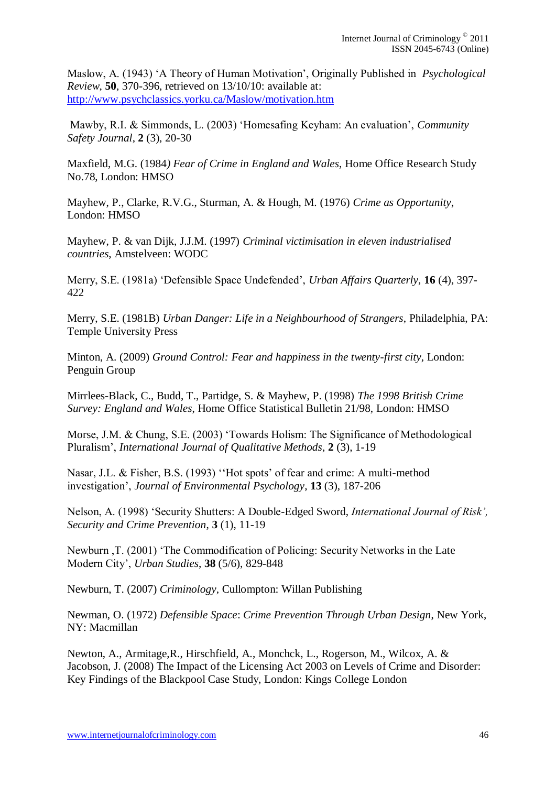Maslow, A. (1943) "A Theory of Human Motivation", Originally Published in *Psychological Review*, **50**, 370-396, retrieved on 13/10/10: available at: <http://www.psychclassics.yorku.ca/Maslow/motivation.htm>

Mawby, R.I. & Simmonds, L. (2003) "Homesafing Keyham: An evaluation", *Community Safety Journal*, **2** (3), 20-30

Maxfield, M.G. (1984*) Fear of Crime in England and Wales*, Home Office Research Study No.78, London: HMSO

Mayhew, P., Clarke, R.V.G., Sturman, A. & Hough, M. (1976) *Crime as Opportunity*, London: HMSO

Mayhew, P. & van Dijk, J.J.M. (1997) *Criminal victimisation in eleven industrialised countries*, Amstelveen: WODC

Merry, S.E. (1981a) "Defensible Space Undefended", *Urban Affairs Quarterly*, **16** (4), 397- 422

Merry, S.E. (1981B) *Urban Danger: Life in a Neighbourhood of Strangers*, Philadelphia, PA: Temple University Press

Minton, A. (2009) *Ground Control: Fear and happiness in the twenty-first city*, London: Penguin Group

Mirrlees-Black, C., Budd, T., Partidge, S. & Mayhew, P. (1998) *The 1998 British Crime Survey: England and Wales*, Home Office Statistical Bulletin 21/98, London: HMSO

Morse, J.M. & Chung, S.E. (2003) "Towards Holism: The Significance of Methodological Pluralism", *International Journal of Qualitative Methods*, **2** (3), 1-19

Nasar, J.L. & Fisher, B.S. (1993) "Hot spots' of fear and crime: A multi-method investigation", *Journal of Environmental Psychology*, **13** (3), 187-206

Nelson, A. (1998) "Security Shutters: A Double-Edged Sword, *International Journal of Risk", Security and Crime Prevention*, **3** (1), 11-19

Newburn ,T. (2001) "The Commodification of Policing: Security Networks in the Late Modern City", *Urban Studies*, **38** (5/6), 829-848

Newburn, T. (2007) *Criminology*, Cullompton: Willan Publishing

Newman, O. (1972) *Defensible Space*: *Crime Prevention Through Urban Design*, New York, NY: Macmillan

Newton, A., Armitage,R., Hirschfield, A., Monchck, L., Rogerson, M., Wilcox, A. & Jacobson, J. (2008) The Impact of the Licensing Act 2003 on Levels of Crime and Disorder: Key Findings of the Blackpool Case Study, London: Kings College London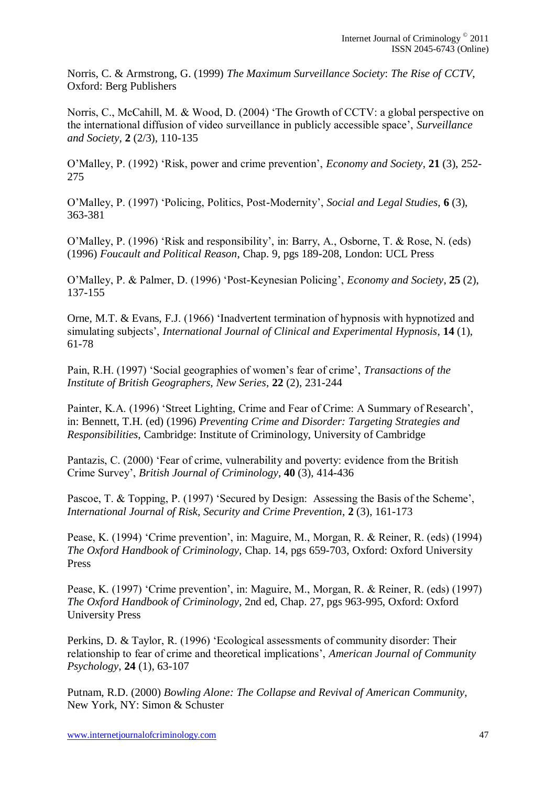Norris, C. & Armstrong, G. (1999) *The Maximum Surveillance Society*: *The Rise of CCTV*, Oxford: Berg Publishers

Norris, C., McCahill, M. & Wood, D. (2004) "The Growth of CCTV: a global perspective on the international diffusion of video surveillance in publicly accessible space", *Surveillance and Society*, **2** (2/3), 110-135

O"Malley, P. (1992) "Risk, power and crime prevention", *Economy and Society*, **21** (3), 252- 275

O"Malley, P. (1997) "Policing, Politics, Post-Modernity", *Social and Legal Studies*, **6** (3), 363-381

O"Malley, P. (1996) "Risk and responsibility", in: Barry, A., Osborne, T. & Rose, N. (eds) (1996) *Foucault and Political Reason*, Chap. 9, pgs 189-208, London: UCL Press

O"Malley, P. & Palmer, D. (1996) "Post-Keynesian Policing", *Economy and Society*, **25** (2), 137-155

Orne, M.T. & Evans, F.J. (1966) "Inadvertent termination of hypnosis with hypnotized and simulating subjects", *International Journal of Clinical and Experimental Hypnosis*, **14** (1), 61-78

Pain, R.H. (1997) "Social geographies of women"s fear of crime", *Transactions of the Institute of British Geographers, New Series*, **22** (2), 231-244

Painter, K.A. (1996) "Street Lighting, Crime and Fear of Crime: A Summary of Research", in: Bennett, T.H. (ed) (1996) *Preventing Crime and Disorder: Targeting Strategies and Responsibilities*, Cambridge: Institute of Criminology, University of Cambridge

Pantazis, C. (2000) "Fear of crime, vulnerability and poverty: evidence from the British Crime Survey", *British Journal of Criminology,* **40** (3), 414-436

Pascoe, T. & Topping, P. (1997) 'Secured by Design: Assessing the Basis of the Scheme', *International Journal of Risk, Security and Crime Prevention*, **2** (3), 161-173

Pease, K. (1994) "Crime prevention", in: Maguire, M., Morgan, R. & Reiner, R. (eds) (1994) *The Oxford Handbook of Criminology,* Chap. 14, pgs 659-703, Oxford: Oxford University Press

Pease, K. (1997) "Crime prevention", in: Maguire, M., Morgan, R. & Reiner, R. (eds) (1997) *The Oxford Handbook of Criminology*, 2nd ed, Chap. 27, pgs 963-995, Oxford: Oxford University Press

Perkins, D. & Taylor, R. (1996) "Ecological assessments of community disorder: Their relationship to fear of crime and theoretical implications", *American Journal of Community Psychology*, **24** (1), 63-107

Putnam, R.D. (2000) *Bowling Alone: The Collapse and Revival of American Community*, New York, NY: Simon & Schuster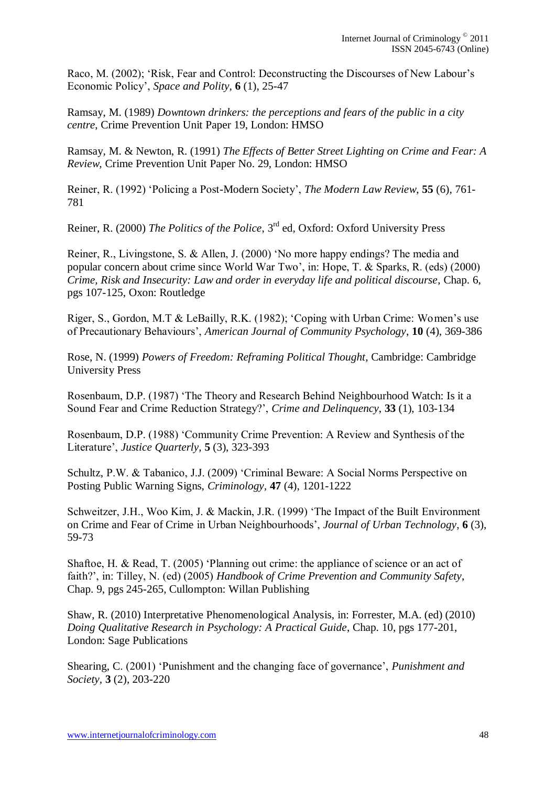Raco, M. (2002); "Risk, Fear and Control: Deconstructing the Discourses of New Labour"s Economic Policy", *Space and Polity*, **6** (1), 25-47

Ramsay, M. (1989) *Downtown drinkers: the perceptions and fears of the public in a city centre*, Crime Prevention Unit Paper 19, London: HMSO

Ramsay, M. & Newton, R. (1991) *The Effects of Better Street Lighting on Crime and Fear: A Review,* Crime Prevention Unit Paper No. 29, London: HMSO

Reiner, R. (1992) "Policing a Post-Modern Society", *The Modern Law Review*, **55** (6), 761- 781

Reiner, R. (2000) *The Politics of the Police*, 3rd ed, Oxford: Oxford University Press

Reiner, R., Livingstone, S. & Allen, J. (2000) "No more happy endings? The media and popular concern about crime since World War Two", in: Hope, T. & Sparks, R. (eds) (2000) *Crime, Risk and Insecurity: Law and order in everyday life and political discourse*, Chap. 6, pgs 107-125, Oxon: Routledge

Riger, S., Gordon, M.T & LeBailly, R.K. (1982); "Coping with Urban Crime: Women"s use of Precautionary Behaviours", *American Journal of Community Psychology*, **10** (4), 369-386

Rose, N. (1999) *Powers of Freedom: Reframing Political Thought*, Cambridge: Cambridge University Press

Rosenbaum, D.P. (1987) "The Theory and Research Behind Neighbourhood Watch: Is it a Sound Fear and Crime Reduction Strategy?", *Crime and Delinquency*, **33** (1), 103-134

Rosenbaum, D.P. (1988) "Community Crime Prevention: A Review and Synthesis of the Literature", *Justice Quarterly*, **5** (3), 323-393

Schultz, P.W. & Tabanico, J.J. (2009) "Criminal Beware: A Social Norms Perspective on Posting Public Warning Signs, *Criminology,* **47** (4), 1201-1222

Schweitzer, J.H., Woo Kim, J. & Mackin, J.R. (1999) "The Impact of the Built Environment on Crime and Fear of Crime in Urban Neighbourhoods", *Journal of Urban Technology*, **6** (3), 59-73

Shaftoe, H. & Read, T. (2005) "Planning out crime: the appliance of science or an act of faith?", in: Tilley, N. (ed) (2005) *Handbook of Crime Prevention and Community Safety*, Chap. 9, pgs 245-265, Cullompton: Willan Publishing

Shaw, R. (2010) Interpretative Phenomenological Analysis, in: Forrester, M.A. (ed) (2010) *Doing Qualitative Research in Psychology: A Practical Guide*, Chap. 10, pgs 177-201, London: Sage Publications

Shearing, C. (2001) "Punishment and the changing face of governance", *Punishment and Society,* **3** (2), 203-220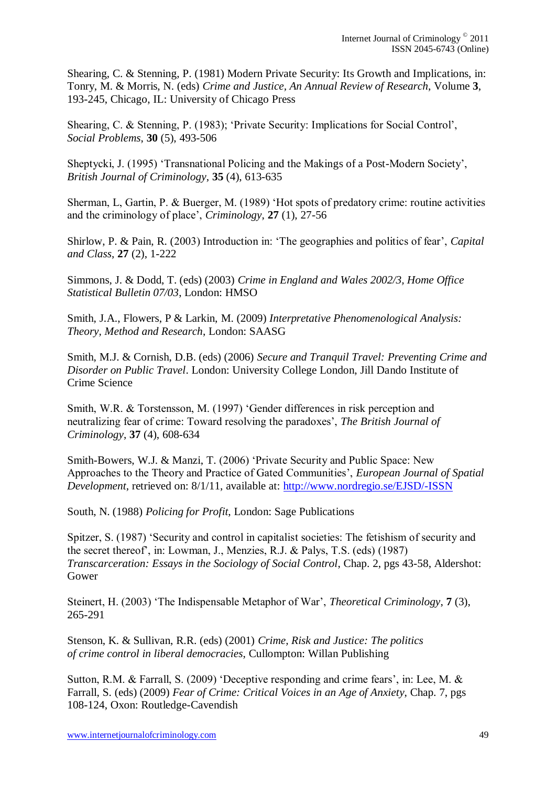Shearing, C. & Stenning, P. (1981) Modern Private Security: Its Growth and Implications, in: Tonry, M. & Morris, N. (eds) *Crime and Justice, An Annual Review of Research*, Volume **3**, 193-245, Chicago, IL: University of Chicago Press

Shearing, C. & Stenning, P. (1983); "Private Security: Implications for Social Control", *Social Problems*, **30** (5), 493-506

Sheptycki, J. (1995) "Transnational Policing and the Makings of a Post-Modern Society", *British Journal of Criminology*, **35** (4), 613-635

Sherman, L, Gartin, P. & Buerger, M. (1989) "Hot spots of predatory crime: routine activities and the criminology of place", *Criminology*, **27** (1), 27-56

Shirlow, P. & Pain, R. (2003) Introduction in: 'The geographies and politics of fear', *Capital and Class*, **27** (2), 1-222

Simmons, J. & Dodd, T. (eds) (2003) *Crime in England and Wales 2002/3, Home Office Statistical Bulletin 07/03*, London: HMSO

Smith, J.A., Flowers, P & Larkin, M. (2009) *Interpretative Phenomenological Analysis: Theory, Method and Research*, London: SAASG

Smith, M.J. & Cornish, D.B. (eds) (2006) *Secure and Tranquil Travel: Preventing Crime and Disorder on Public Travel*. London: University College London, Jill Dando Institute of Crime Science

Smith, W.R. & Torstensson, M. (1997) "Gender differences in risk perception and neutralizing fear of crime: Toward resolving the paradoxes", *The British Journal of Criminology*, **37** (4), 608-634

Smith-Bowers, W.J. & Manzi, T. (2006) "Private Security and Public Space: New Approaches to the Theory and Practice of Gated Communities", *European Journal of Spatial Development*, retrieved on: 8/1/11, available at:<http://www.nordregio.se/EJSD/-ISSN>

South, N. (1988) *Policing for Profit*, London: Sage Publications

Spitzer, S. (1987) "Security and control in capitalist societies: The fetishism of security and the secret thereof", in: Lowman, J., Menzies, R.J. & Palys, T.S. (eds) (1987) *Transcarceration: Essays in the Sociology of Social Control*, Chap. 2, pgs 43-58, Aldershot: Gower

Steinert, H. (2003) "The Indispensable Metaphor of War", *Theoretical Criminology*, **7** (3), 265-291

Stenson, K. & Sullivan, R.R. (eds) (2001) *Crime, Risk and Justice: The politics of crime control in liberal democracies*, Cullompton: Willan Publishing

Sutton, R.M. & Farrall, S. (2009) 'Deceptive responding and crime fears', in: Lee, M. & Farrall, S. (eds) (2009) *Fear of Crime: Critical Voices in an Age of Anxiety*, Chap. 7, pgs 108-124, Oxon: Routledge-Cavendish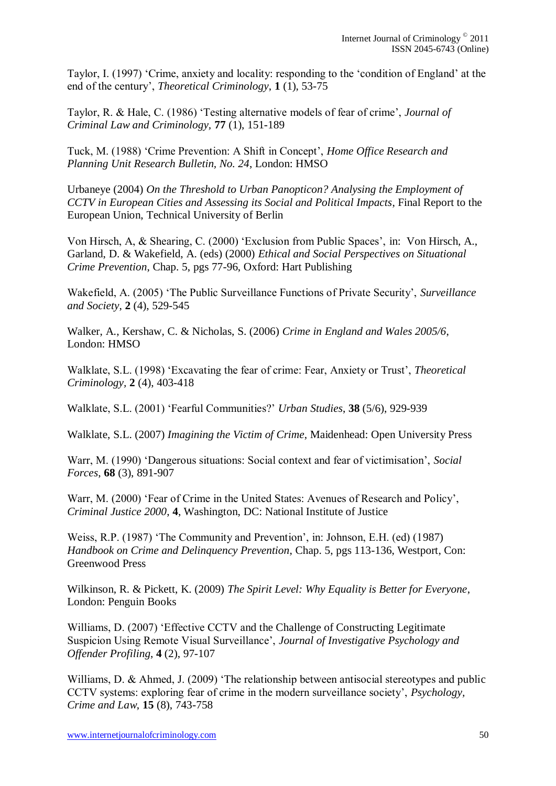Taylor, I. (1997) "Crime, anxiety and locality: responding to the "condition of England" at the end of the century', *Theoretical Criminology*, **1** (1), 53-75

Taylor, R. & Hale, C. (1986) "Testing alternative models of fear of crime", *Journal of Criminal Law and Criminology,* **77** (1), 151-189

Tuck, M. (1988) "Crime Prevention: A Shift in Concept", *Home Office Research and Planning Unit Research Bulletin, No. 24*, London: HMSO

Urbaneye (2004) *On the Threshold to Urban Panopticon? Analysing the Employment of CCTV in European Cities and Assessing its Social and Political Impacts*, Final Report to the European Union, Technical University of Berlin

Von Hirsch, A, & Shearing, C. (2000) "Exclusion from Public Spaces", in: Von Hirsch, A., Garland, D. & Wakefield, A. (eds) (2000) *Ethical and Social Perspectives on Situational Crime Prevention*, Chap. 5, pgs 77-96, Oxford: Hart Publishing

Wakefield, A. (2005) "The Public Surveillance Functions of Private Security", *Surveillance and Society*, **2** (4), 529-545

Walker, A., Kershaw, C. & Nicholas, S. (2006) *Crime in England and Wales 2005/6*, London: HMSO

Walklate, S.L. (1998) "Excavating the fear of crime: Fear, Anxiety or Trust", *Theoretical Criminology,* **2** (4), 403-418

Walklate, S.L. (2001) "Fearful Communities?" *Urban Studies*, **38** (5/6), 929-939

Walklate, S.L. (2007) *Imagining the Victim of Crime*, Maidenhead: Open University Press

Warr, M. (1990) "Dangerous situations: Social context and fear of victimisation", *Social Forces*, **68** (3), 891-907

Warr, M. (2000) 'Fear of Crime in the United States: Avenues of Research and Policy', *Criminal Justice 2000*, **4**, Washington, DC: National Institute of Justice

Weiss, R.P. (1987) 'The Community and Prevention', in: Johnson, E.H. (ed) (1987) *Handbook on Crime and Delinquency Prevention*, Chap. 5, pgs 113-136, Westport, Con: Greenwood Press

Wilkinson, R. & Pickett, K. (2009) *The Spirit Level: Why Equality is Better for Everyone*, London: Penguin Books

Williams, D. (2007) "Effective CCTV and the Challenge of Constructing Legitimate Suspicion Using Remote Visual Surveillance", *Journal of Investigative Psychology and Offender Profiling*, **4** (2), 97-107

Williams, D. & Ahmed, J. (2009) 'The relationship between antisocial stereotypes and public CCTV systems: exploring fear of crime in the modern surveillance society", *Psychology, Crime and Law*, **15** (8), 743-758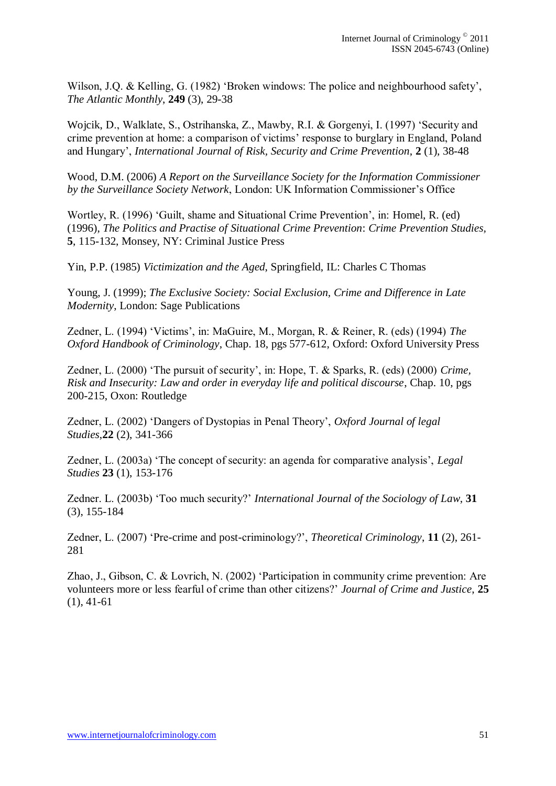Wilson, J.Q. & Kelling, G. (1982) 'Broken windows: The police and neighbourhood safety', *The Atlantic Monthly*, **249** (3), 29-38

Wojcik, D., Walklate, S., Ostrihanska, Z., Mawby, R.I. & Gorgenyi, I. (1997) "Security and crime prevention at home: a comparison of victims" response to burglary in England, Poland and Hungary", *International Journal of Risk, Security and Crime Prevention*, **2** (1), 38-48

Wood, D.M. (2006) *A Report on the Surveillance Society for the Information Commissioner by the Surveillance Society Network*, London: UK Information Commissioner"s Office

Wortley, R. (1996) 'Guilt, shame and Situational Crime Prevention', in: Homel, R. (ed) (1996), *The Politics and Practise of Situational Crime Prevention*: *Crime Prevention Studies,* **5**, 115-132, Monsey, NY: Criminal Justice Press

Yin, P.P. (1985) *Victimization and the Aged*, Springfield, IL: Charles C Thomas

Young, J. (1999); *The Exclusive Society: Social Exclusion, Crime and Difference in Late Modernity*, London: Sage Publications

Zedner, L. (1994) "Victims", in: MaGuire, M., Morgan, R. & Reiner, R. (eds) (1994) *The Oxford Handbook of Criminology*, Chap. 18, pgs 577-612, Oxford: Oxford University Press

Zedner, L. (2000) "The pursuit of security", in: Hope, T. & Sparks, R. (eds) (2000) *Crime, Risk and Insecurity: Law and order in everyday life and political discourse*, Chap. 10, pgs 200-215, Oxon: Routledge

Zedner, L. (2002) "Dangers of Dystopias in Penal Theory", *Oxford Journal of legal Studies*,**22** (2), 341-366

Zedner, L. (2003a) "The concept of security: an agenda for comparative analysis", *Legal Studies* **23** (1), 153-176

Zedner. L. (2003b) "Too much security?" *International Journal of the Sociology of Law*, **31** (3), 155-184

Zedner, L. (2007) "Pre-crime and post-criminology?", *Theoretical Criminology*, **11** (2), 261- 281

Zhao, J., Gibson, C. & Lovrich, N. (2002) "Participation in community crime prevention: Are volunteers more or less fearful of crime than other citizens?" *Journal of Crime and Justice*, **25** (1), 41-61